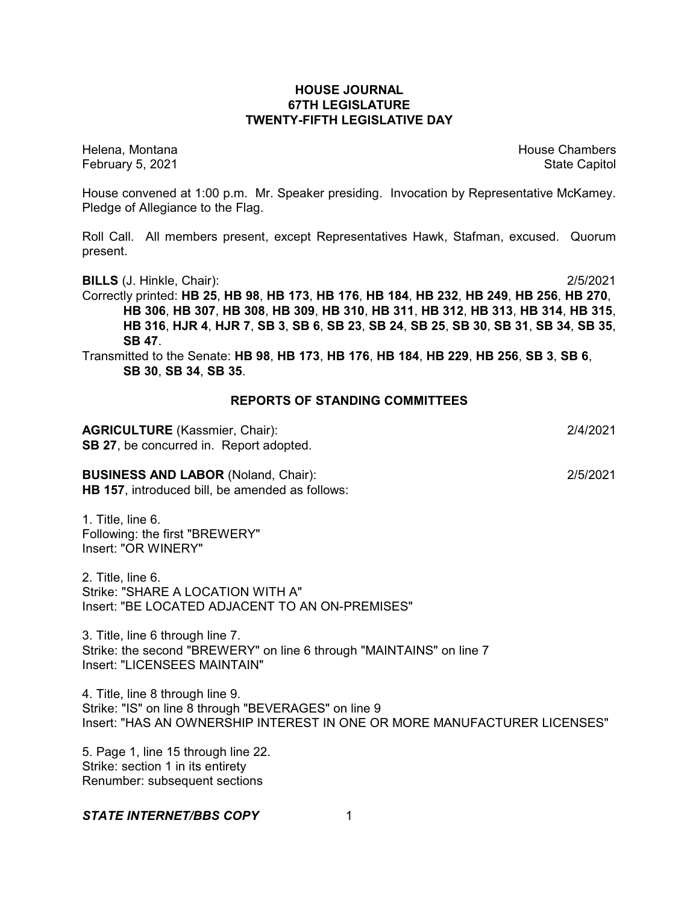# **HOUSE JOURNAL 67TH LEGISLATURE TWENTY-FIFTH LEGISLATIVE DAY**

Helena, Montana House Chambers Chambers Chambers and House Chambers Chambers Chambers Chambers Chambers Chambers Chambers Chambers Chambers Chambers Chambers Chambers Chambers Chambers Chambers Chambers Chambers Chambers C February 5, 2021 **State Capitol** 

House convened at 1:00 p.m. Mr. Speaker presiding. Invocation by Representative McKamey. Pledge of Allegiance to the Flag.

Roll Call. All members present, except Representatives Hawk, Stafman, excused. Quorum present.

**BILLS** (J. Hinkle, Chair): 2/5/2021

Correctly printed: **HB 25**, **HB 98**, **HB 173**, **HB 176**, **HB 184**, **HB 232**, **HB 249**, **HB 256**, **HB 270**, **HB 306**, **HB 307**, **HB 308**, **HB 309**, **HB 310**, **HB 311**, **HB 312**, **HB 313**, **HB 314**, **HB 315**, HB 316, HJR 4, HJR 7, SB 3, SB 6, SB 23, SB 24, SB 25, SB 30, SB 31, SB 34, SB 35, **SB 47**.

Transmitted to the Senate: **HB 98**, **HB 173**, **HB 176**, **HB 184**, **HB 229**, **HB 256**, **SB 3**, **SB 6**, **SB 30**, **SB 34**, **SB 35**.

#### **REPORTS OF STANDING COMMITTEES**

**AGRICULTURE** (Kassmier, Chair): 2/4/2021 **SB 27**, be concurred in. Report adopted.

**BUSINESS AND LABOR** (Noland, Chair): 2/5/2021

**HB 157**, introduced bill, be amended as follows:

1. Title, line 6. Following: the first "BREWERY" Insert: "OR WINERY"

2. Title, line 6. Strike: "SHARE A LOCATION WITH A" Insert: "BE LOCATED ADJACENT TO AN ON-PREMISES"

3. Title, line 6 through line 7. Strike: the second "BREWERY" on line 6 through "MAINTAINS" on line 7 Insert: "LICENSEES MAINTAIN"

4. Title, line 8 through line 9. Strike: "IS" on line 8 through "BEVERAGES" on line 9 Insert: "HAS AN OWNERSHIP INTEREST IN ONE OR MORE MANUFACTURER LICENSES"

5. Page 1, line 15 through line 22. Strike: section 1 in its entirety Renumber: subsequent sections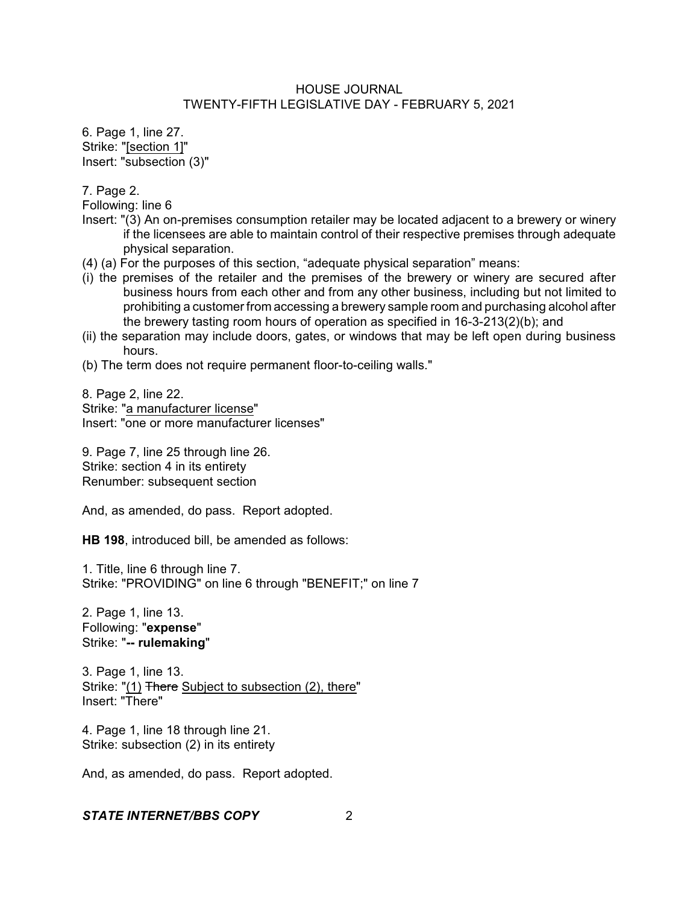6. Page 1, line 27. Strike: "[section 1]" Insert: "subsection (3)"

7. Page 2.

Following: line 6

- Insert: "(3) An on-premises consumption retailer may be located adjacent to a brewery or winery if the licensees are able to maintain control of their respective premises through adequate physical separation.
- (4) (a) For the purposes of this section, "adequate physical separation" means:
- (i) the premises of the retailer and the premises of the brewery or winery are secured after business hours from each other and from any other business, including but not limited to prohibiting a customer from accessing a brewery sample room and purchasing alcohol after the brewery tasting room hours of operation as specified in 16-3-213(2)(b); and
- (ii) the separation may include doors, gates, or windows that may be left open during business hours.
- (b) The term does not require permanent floor-to-ceiling walls."

8. Page 2, line 22. Strike: "a manufacturer license" Insert: "one or more manufacturer licenses"

9. Page 7, line 25 through line 26. Strike: section 4 in its entirety Renumber: subsequent section

And, as amended, do pass. Report adopted.

**HB 198**, introduced bill, be amended as follows:

1. Title, line 6 through line 7. Strike: "PROVIDING" on line 6 through "BENEFIT;" on line 7

2. Page 1, line 13. Following: "**expense**" Strike: "**-- rulemaking**"

3. Page 1, line 13. Strike: "(1) There Subject to subsection (2), there" Insert: "There"

4. Page 1, line 18 through line 21. Strike: subsection (2) in its entirety

And, as amended, do pass. Report adopted.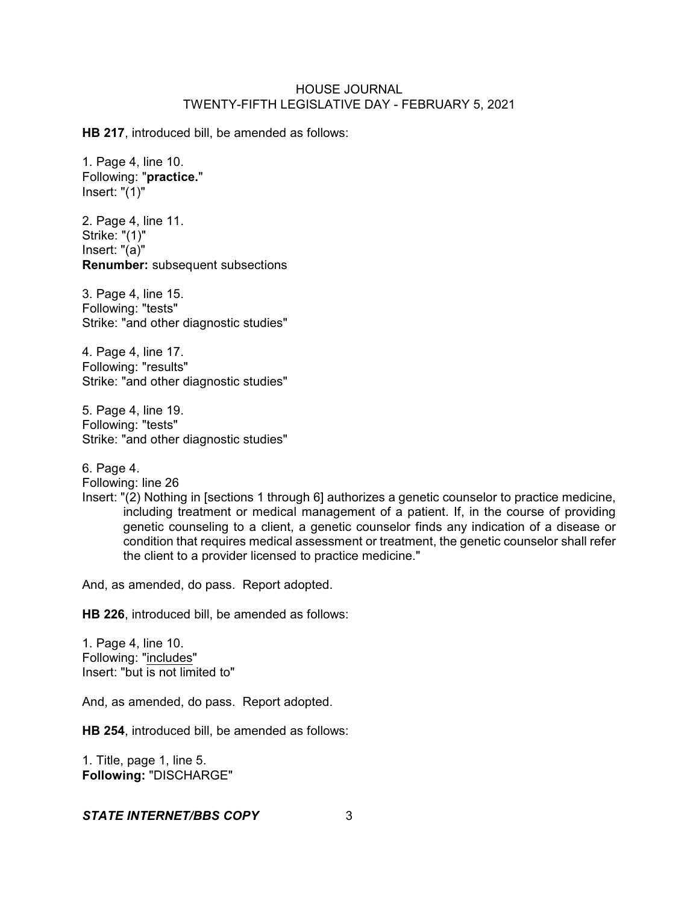**HB 217**, introduced bill, be amended as follows:

1. Page 4, line 10. Following: "**practice.**" Insert: "(1)"

2. Page 4, line 11. Strike: "(1)" Insert: "(a)" **Renumber:** subsequent subsections

3. Page 4, line 15. Following: "tests" Strike: "and other diagnostic studies"

4. Page 4, line 17. Following: "results" Strike: "and other diagnostic studies"

5. Page 4, line 19. Following: "tests" Strike: "and other diagnostic studies"

6. Page 4. Following: line 26

Insert: "(2) Nothing in [sections 1 through 6] authorizes a genetic counselor to practice medicine, including treatment or medical management of a patient. If, in the course of providing genetic counseling to a client, a genetic counselor finds any indication of a disease or condition that requires medical assessment or treatment, the genetic counselor shall refer the client to a provider licensed to practice medicine."

And, as amended, do pass. Report adopted.

**HB 226**, introduced bill, be amended as follows:

1. Page 4, line 10. Following: "includes" Insert: "but is not limited to"

And, as amended, do pass. Report adopted.

**HB 254**, introduced bill, be amended as follows:

1. Title, page 1, line 5. **Following:** "DISCHARGE"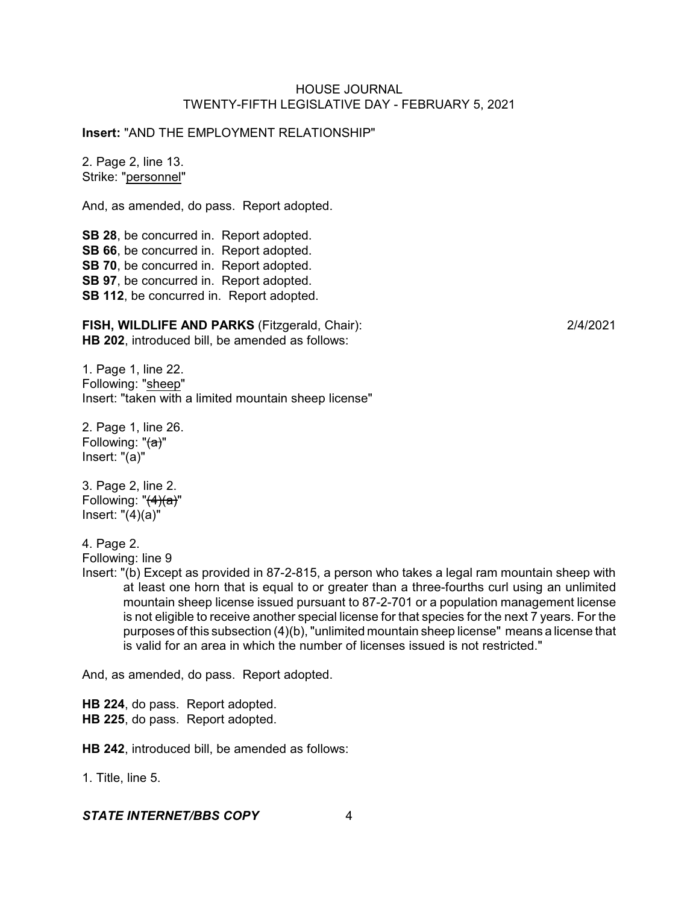# **Insert:** "AND THE EMPLOYMENT RELATIONSHIP"

2. Page 2, line 13. Strike: "personnel"

And, as amended, do pass. Report adopted.

**SB 28**, be concurred in. Report adopted. **SB 66**, be concurred in. Report adopted. **SB 70**, be concurred in. Report adopted. **SB 97**, be concurred in. Report adopted. **SB 112**, be concurred in. Report adopted.

# **FISH, WILDLIFE AND PARKS** (Fitzgerald, Chair): 2/4/2021 **HB 202**, introduced bill, be amended as follows:

1. Page 1, line 22. Following: "sheep" Insert: "taken with a limited mountain sheep license"

2. Page 1, line 26. Following:  $"(\mathbf{a})"$ Insert: "(a)"

3. Page 2, line 2. Following:  $"(\frac{4}{a})"$ Insert: "(4)(a)"

4. Page 2.

Following: line 9

Insert: "(b) Except as provided in 87-2-815, a person who takes a legal ram mountain sheep with at least one horn that is equal to or greater than a three-fourths curl using an unlimited mountain sheep license issued pursuant to 87-2-701 or a population management license is not eligible to receive another special license for that species for the next  $\overline{7}$  years. For the purposes of this subsection (4)(b),"unlimited mountain sheep license" means a license that is valid for an area in which the number of licenses issued is not restricted."

And, as amended, do pass. Report adopted.

**HB 224**, do pass. Report adopted. **HB 225**, do pass. Report adopted.

**HB 242**, introduced bill, be amended as follows:

1. Title, line 5.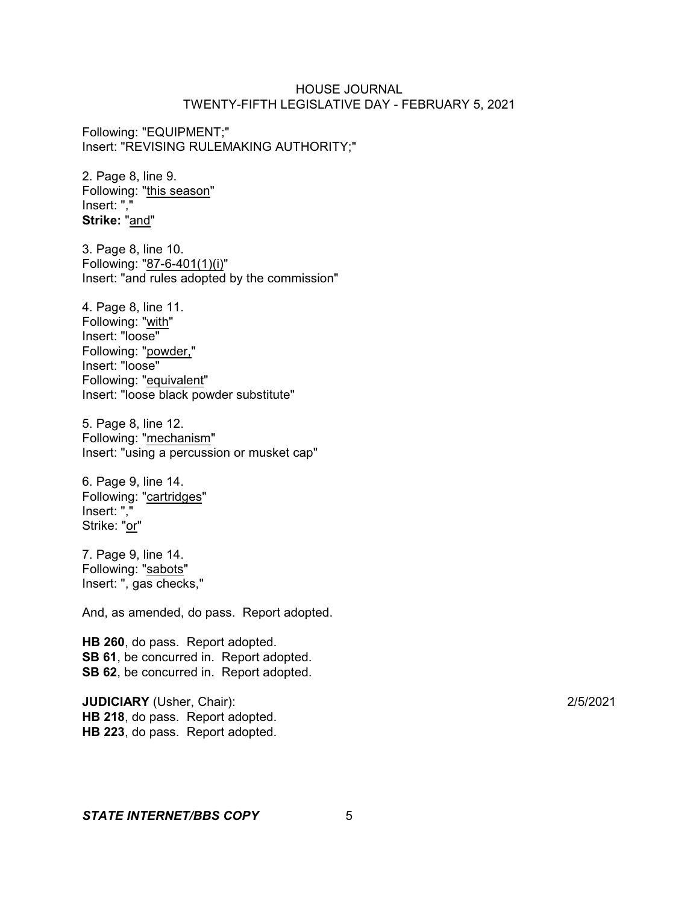Following: "EQUIPMENT;" Insert: "REVISING RULEMAKING AUTHORITY;"

2. Page 8, line 9. Following: "this season" Insert: "," **Strike:** "and"

3. Page 8, line 10. Following: "87-6-401(1)(i)" Insert: "and rules adopted by the commission"

4. Page 8, line 11. Following: "with" Insert: "loose" Following: "powder," Insert: "loose" Following: "equivalent" Insert: "loose black powder substitute"

5. Page 8, line 12. Following: "mechanism" Insert: "using a percussion or musket cap"

6. Page 9, line 14. Following: "cartridges" Insert: "," Strike: "or"

7. Page 9, line 14. Following: "sabots" Insert: ", gas checks,"

And, as amended, do pass. Report adopted.

**HB 260**, do pass. Report adopted. **SB 61**, be concurred in. Report adopted. **SB 62**, be concurred in. Report adopted.

**JUDICIARY** (Usher, Chair): 2/5/2021 **HB 218**, do pass. Report adopted. **HB 223**, do pass. Report adopted.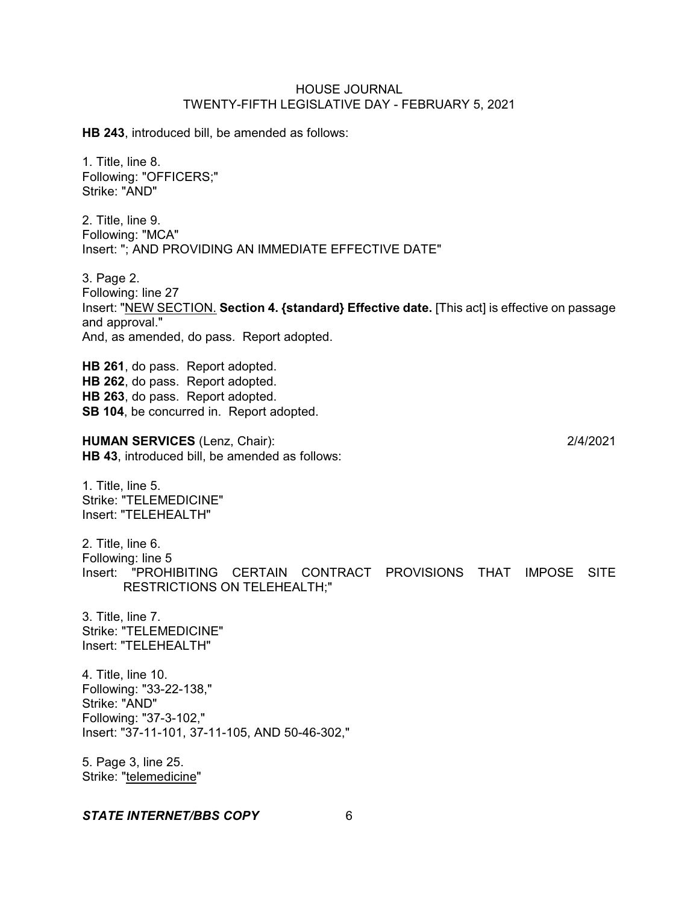**HB 243**, introduced bill, be amended as follows:

1. Title, line 8. Following: "OFFICERS;" Strike: "AND"

2. Title, line 9. Following: "MCA" Insert: "; AND PROVIDING AN IMMEDIATE EFFECTIVE DATE"

3. Page 2. Following: line 27 Insert: "NEW SECTION. **Section 4. {standard} Effective date.** [This act] is effective on passage and approval." And, as amended, do pass. Report adopted.

**HB 261**, do pass. Report adopted. **HB 262**, do pass. Report adopted. **HB 263**, do pass. Report adopted. **SB 104**, be concurred in. Report adopted.

**HUMAN SERVICES** (Lenz, Chair): 2/4/2021 **HB 43**, introduced bill, be amended as follows:

1. Title, line 5. Strike: "TELEMEDICINE" Insert: "TELEHEALTH"

2. Title, line 6. Following: line 5 Insert: "PROHIBITING CERTAIN CONTRACT PROVISIONS THAT IMPOSE SITE RESTRICTIONS ON TELEHEALTH;"

3. Title, line 7. Strike: "TELEMEDICINE" Insert: "TELEHEALTH"

4. Title, line 10. Following: "33-22-138," Strike: "AND" Following: "37-3-102," Insert: "37-11-101, 37-11-105, AND 50-46-302,"

5. Page 3, line 25. Strike: "telemedicine"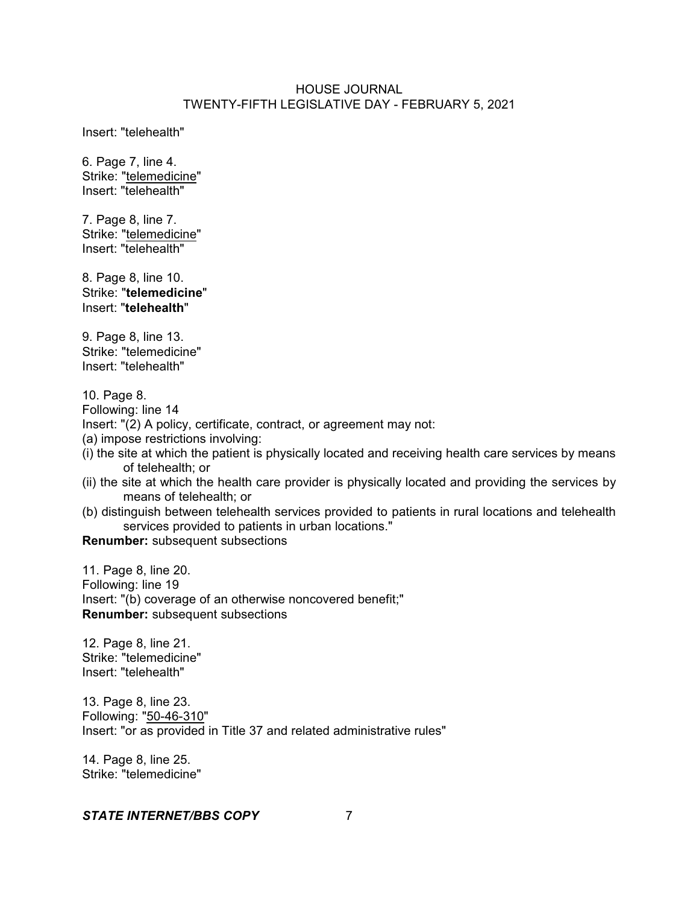Insert: "telehealth"

6. Page 7, line 4. Strike: "telemedicine" Insert: "telehealth"

7. Page 8, line 7. Strike: "telemedicine" Insert: "telehealth"

8. Page 8, line 10. Strike: "**telemedicine**" Insert: "**telehealth**"

9. Page 8, line 13. Strike: "telemedicine" Insert: "telehealth"

10. Page 8.

Following: line 14

Insert: "(2) A policy, certificate, contract, or agreement may not:

- (a) impose restrictions involving:
- (i) the site at which the patient is physically located and receiving health care services by means of telehealth; or
- (ii) the site at which the health care provider is physically located and providing the services by means of telehealth; or
- (b) distinguish between telehealth services provided to patients in rural locations and telehealth services provided to patients in urban locations."

**Renumber:** subsequent subsections

11. Page 8, line 20. Following: line 19 Insert: "(b) coverage of an otherwise noncovered benefit;" **Renumber:** subsequent subsections

12. Page 8, line 21. Strike: "telemedicine" Insert: "telehealth"

13. Page 8, line 23. Following: "50-46-310" Insert: "or as provided in Title 37 and related administrative rules"

14. Page 8, line 25. Strike: "telemedicine"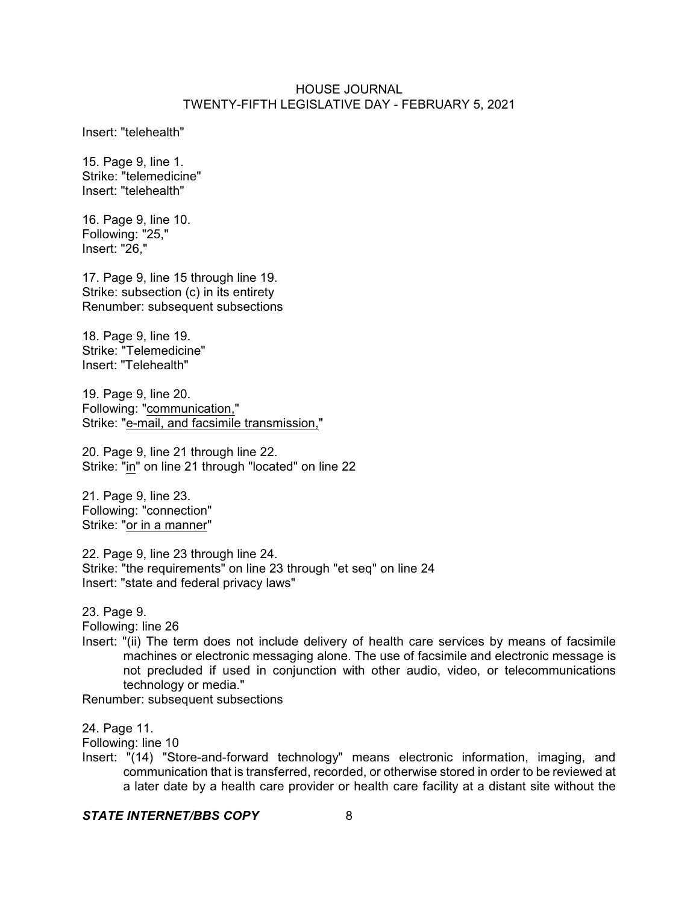Insert: "telehealth"

15. Page 9, line 1. Strike: "telemedicine" Insert: "telehealth"

16. Page 9, line 10. Following: "25," Insert: "26,"

17. Page 9, line 15 through line 19. Strike: subsection (c) in its entirety Renumber: subsequent subsections

18. Page 9, line 19. Strike: "Telemedicine" Insert: "Telehealth"

19. Page 9, line 20. Following: "communication," Strike: "e-mail, and facsimile transmission,"

20. Page 9, line 21 through line 22. Strike: "in" on line 21 through "located" on line 22

21. Page 9, line 23. Following: "connection" Strike: "or in a manner"

22. Page 9, line 23 through line 24. Strike: "the requirements" on line 23 through "et seq" on line 24 Insert: "state and federal privacy laws"

23. Page 9.

Following: line 26

Insert: "(ii) The term does not include delivery of health care services by means of facsimile machines or electronic messaging alone. The use of facsimile and electronic message is not precluded if used in conjunction with other audio, video, or telecommunications technology or media."

Renumber: subsequent subsections

24. Page 11.

Following: line 10

Insert: "(14) "Store-and-forward technology" means electronic information, imaging, and communication that is transferred, recorded, or otherwise stored in order to be reviewed at a later date by a health care provider or health care facility at a distant site without the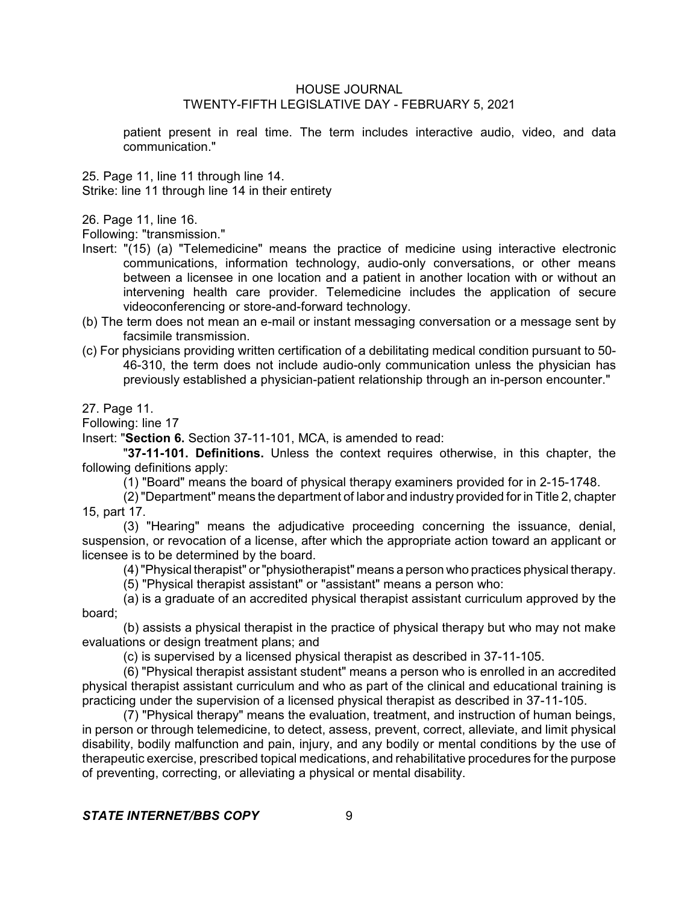patient present in real time. The term includes interactive audio, video, and data communication."

25. Page 11, line 11 through line 14. Strike: line 11 through line 14 in their entirety

26. Page 11, line 16.

Following: "transmission."

- Insert: "(15) (a) "Telemedicine" means the practice of medicine using interactive electronic communications, information technology, audio-only conversations, or other means between a licensee in one location and a patient in another location with or without an intervening health care provider. Telemedicine includes the application of secure videoconferencing or store-and-forward technology.
- (b) The term does not mean an e-mail or instant messaging conversation or a message sent by facsimile transmission.
- (c) For physicians providing written certification of a debilitating medical condition pursuant to 50- 46-310, the term does not include audio-only communication unless the physician has previously established a physician-patient relationship through an in-person encounter."

27. Page 11.

Following: line 17

Insert: "**Section 6.** Section 37-11-101, MCA, is amended to read:

"**37-11-101. Definitions.** Unless the context requires otherwise, in this chapter, the following definitions apply:

(1) "Board" means the board of physical therapy examiners provided for in 2-15-1748.

(2)"Department" means the department of labor and industry provided for in Title 2, chapter 15, part 17.

(3) "Hearing" means the adjudicative proceeding concerning the issuance, denial, suspension, or revocation of a license, after which the appropriate action toward an applicant or licensee is to be determined by the board.

(4)"Physical therapist" or"physiotherapist" means a person who practices physical therapy.

(5) "Physical therapist assistant" or "assistant" means a person who:

(a) is a graduate of an accredited physical therapist assistant curriculum approved by the board;

(b) assists a physical therapist in the practice of physical therapy but who may not make evaluations or design treatment plans; and

(c) is supervised by a licensed physical therapist as described in 37-11-105.

(6) "Physical therapist assistant student" means a person who is enrolled in an accredited physical therapist assistant curriculum and who as part of the clinical and educational training is practicing under the supervision of a licensed physical therapist as described in 37-11-105.

(7) "Physical therapy" means the evaluation, treatment, and instruction of human beings, in person or through telemedicine, to detect, assess, prevent, correct, alleviate, and limit physical disability, bodily malfunction and pain, injury, and any bodily or mental conditions by the use of therapeutic exercise, prescribed topical medications, and rehabilitative procedures for the purpose of preventing, correcting, or alleviating a physical or mental disability.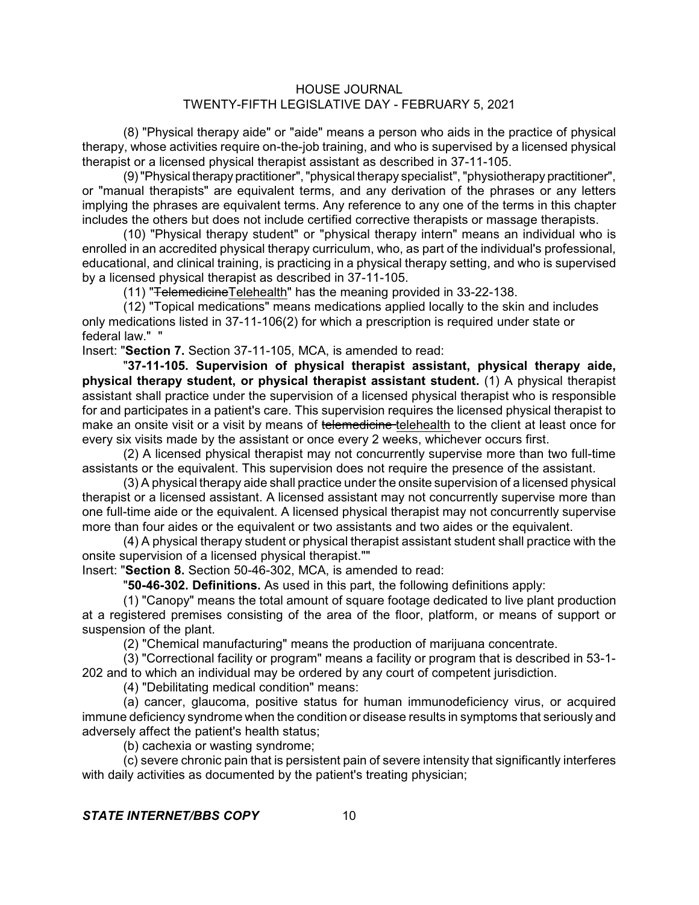(8) "Physical therapy aide" or "aide" means a person who aids in the practice of physical therapy, whose activities require on-the-job training, and who is supervised by a licensed physical therapist or a licensed physical therapist assistant as described in 37-11-105.

(9)"Physical therapy practitioner","physical therapy specialist","physiotherapy practitioner", or "manual therapists" are equivalent terms, and any derivation of the phrases or any letters implying the phrases are equivalent terms. Any reference to any one of the terms in this chapter includes the others but does not include certified corrective therapists or massage therapists.

(10) "Physical therapy student" or "physical therapy intern" means an individual who is enrolled in an accredited physical therapy curriculum, who, as part of the individual's professional, educational, and clinical training, is practicing in a physical therapy setting, and who is supervised by a licensed physical therapist as described in 37-11-105.

(11) "TelemedicineTelehealth" has the meaning provided in 33-22-138.

(12) "Topical medications" means medications applied locally to the skin and includes only medications listed in 37-11-106(2) for which a prescription is required under state or federal law." "

Insert: "**Section 7.** Section 37-11-105, MCA, is amended to read:

"**37-11-105. Supervision of physical therapist assistant, physical therapy aide, physical therapy student, or physical therapist assistant student.** (1) A physical therapist assistant shall practice under the supervision of a licensed physical therapist who is responsible for and participates in a patient's care. This supervision requires the licensed physical therapist to make an onsite visit or a visit by means of telemedicine telehealth to the client at least once for every six visits made by the assistant or once every 2 weeks, whichever occurs first.

(2) A licensed physical therapist may not concurrently supervise more than two full-time assistants or the equivalent. This supervision does not require the presence of the assistant.

(3) A physical therapy aide shall practice under the onsite supervision of a licensed physical therapist or a licensed assistant. A licensed assistant may not concurrently supervise more than one full-time aide or the equivalent. A licensed physical therapist may not concurrently supervise more than four aides or the equivalent or two assistants and two aides or the equivalent.

(4) A physical therapy student or physical therapist assistant student shall practice with the onsite supervision of a licensed physical therapist.""

Insert: "**Section 8.** Section 50-46-302, MCA, is amended to read:

"**50-46-302. Definitions.** As used in this part, the following definitions apply:

(1) "Canopy" means the total amount of square footage dedicated to live plant production at a registered premises consisting of the area of the floor, platform, or means of support or suspension of the plant.

(2) "Chemical manufacturing" means the production of marijuana concentrate.

(3) "Correctional facility or program" means a facility or program that is described in 53-1- 202 and to which an individual may be ordered by any court of competent jurisdiction.

(4) "Debilitating medical condition" means:

(a) cancer, glaucoma, positive status for human immunodeficiency virus, or acquired immune deficiency syndrome when the condition or disease results in symptoms that seriously and adversely affect the patient's health status;

(b) cachexia or wasting syndrome;

(c) severe chronic pain that is persistent pain of severe intensity that significantly interferes with daily activities as documented by the patient's treating physician;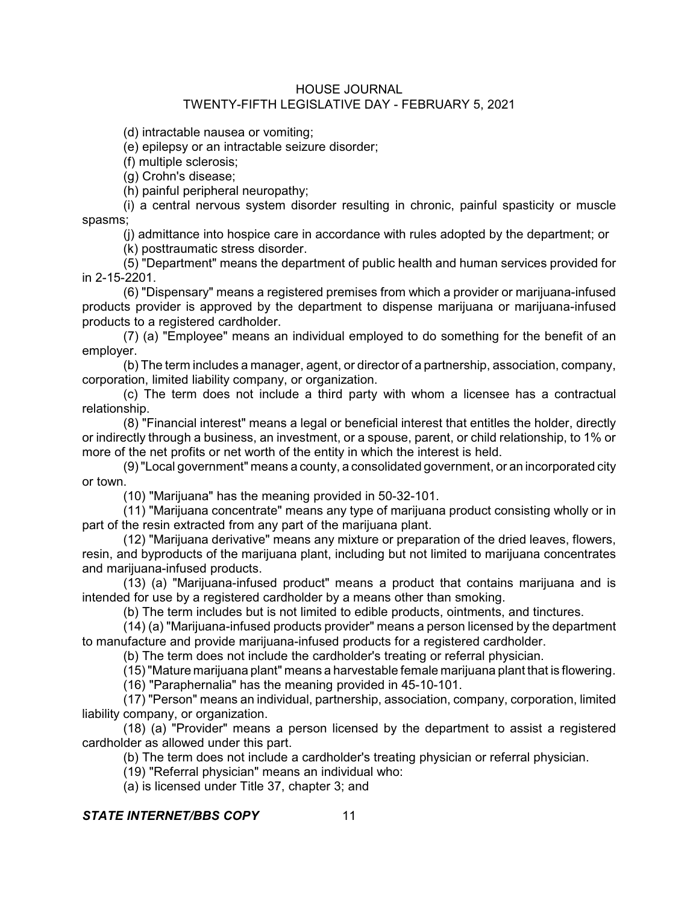(d) intractable nausea or vomiting;

(e) epilepsy or an intractable seizure disorder;

(f) multiple sclerosis;

(g) Crohn's disease;

(h) painful peripheral neuropathy;

(i) a central nervous system disorder resulting in chronic, painful spasticity or muscle spasms;

(j) admittance into hospice care in accordance with rules adopted by the department; or

(k) posttraumatic stress disorder.

(5) "Department" means the department of public health and human services provided for in 2-15-2201.

(6) "Dispensary" means a registered premises from which a provider or marijuana-infused products provider is approved by the department to dispense marijuana or marijuana-infused products to a registered cardholder.

(7) (a) "Employee" means an individual employed to do something for the benefit of an employer.

(b) The term includes a manager, agent, or director of a partnership, association, company, corporation, limited liability company, or organization.

(c) The term does not include a third party with whom a licensee has a contractual relationship.

(8) "Financial interest" means a legal or beneficial interest that entitles the holder, directly or indirectly through a business, an investment, or a spouse, parent, or child relationship, to 1% or more of the net profits or net worth of the entity in which the interest is held.

(9)"Local government" means a county, a consolidated government, or an incorporated city or town.

(10) "Marijuana" has the meaning provided in 50-32-101.

(11) "Marijuana concentrate" means any type of marijuana product consisting wholly or in part of the resin extracted from any part of the marijuana plant.

(12) "Marijuana derivative" means any mixture or preparation of the dried leaves, flowers, resin, and byproducts of the marijuana plant, including but not limited to marijuana concentrates and marijuana-infused products.

(13) (a) "Marijuana-infused product" means a product that contains marijuana and is intended for use by a registered cardholder by a means other than smoking.

(b) The term includes but is not limited to edible products, ointments, and tinctures.

(14) (a) "Marijuana-infused products provider" means a person licensed by the department to manufacture and provide marijuana-infused products for a registered cardholder.

(b) The term does not include the cardholder's treating or referral physician.

(15)"Mature marijuana plant" means a harvestable female marijuana plant that is flowering.

(16) "Paraphernalia" has the meaning provided in 45-10-101.

(17) "Person" means an individual, partnership, association, company, corporation, limited liability company, or organization.

(18) (a) "Provider" means a person licensed by the department to assist a registered cardholder as allowed under this part.

(b) The term does not include a cardholder's treating physician or referral physician.

(19) "Referral physician" means an individual who:

(a) is licensed under Title 37, chapter 3; and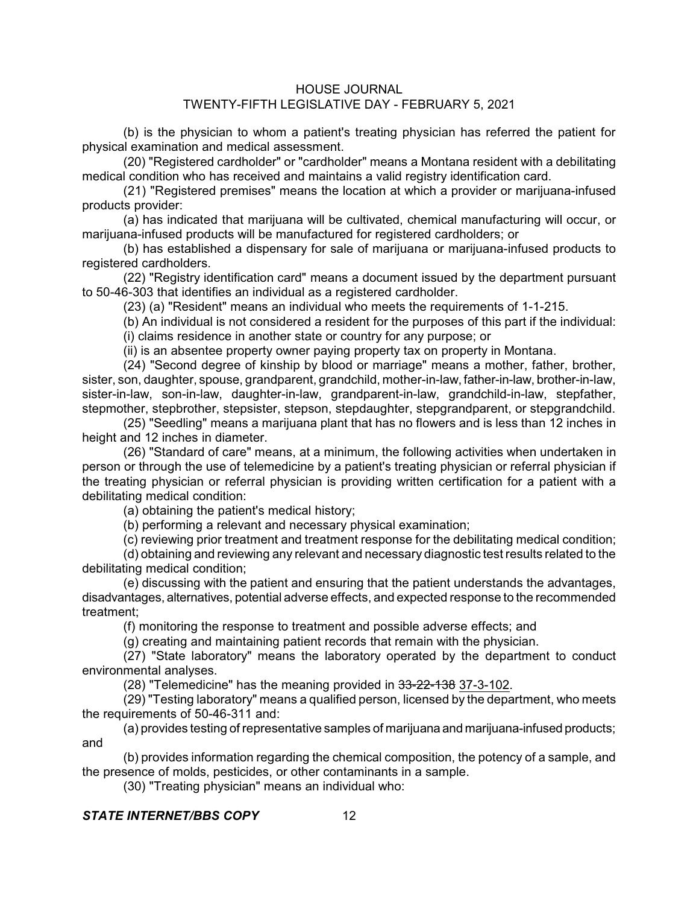(b) is the physician to whom a patient's treating physician has referred the patient for physical examination and medical assessment.

(20) "Registered cardholder" or "cardholder" means a Montana resident with a debilitating medical condition who has received and maintains a valid registry identification card.

(21) "Registered premises" means the location at which a provider or marijuana-infused products provider:

(a) has indicated that marijuana will be cultivated, chemical manufacturing will occur, or marijuana-infused products will be manufactured for registered cardholders; or

(b) has established a dispensary for sale of marijuana or marijuana-infused products to registered cardholders.

(22) "Registry identification card" means a document issued by the department pursuant to 50-46-303 that identifies an individual as a registered cardholder.

(23) (a) "Resident" means an individual who meets the requirements of 1-1-215.

(b) An individual is not considered a resident for the purposes of this part if the individual: (i) claims residence in another state or country for any purpose; or

(ii) is an absentee property owner paying property tax on property in Montana.

(24) "Second degree of kinship by blood or marriage" means a mother, father, brother, sister, son, daughter, spouse, grandparent, grandchild, mother-in-law, father-in-law, brother-in-law, sister-in-law, son-in-law, daughter-in-law, grandparent-in-law, grandchild-in-law, stepfather, stepmother, stepbrother, stepsister, stepson, stepdaughter, stepgrandparent, or stepgrandchild.

(25) "Seedling" means a marijuana plant that has no flowers and is less than 12 inches in height and 12 inches in diameter.

(26) "Standard of care" means, at a minimum, the following activities when undertaken in person or through the use of telemedicine by a patient's treating physician or referral physician if the treating physician or referral physician is providing written certification for a patient with a debilitating medical condition:

(a) obtaining the patient's medical history;

(b) performing a relevant and necessary physical examination;

(c) reviewing prior treatment and treatment response for the debilitating medical condition;

(d) obtaining and reviewing any relevant and necessary diagnostic test results related to the debilitating medical condition;

(e) discussing with the patient and ensuring that the patient understands the advantages, disadvantages, alternatives, potential adverse effects, and expected response to the recommended treatment;

(f) monitoring the response to treatment and possible adverse effects; and

(g) creating and maintaining patient records that remain with the physician.

(27) "State laboratory" means the laboratory operated by the department to conduct environmental analyses.

(28) "Telemedicine" has the meaning provided in 33-22-138 37-3-102.

(29) "Testing laboratory" means a qualified person, licensed by the department, who meets the requirements of 50-46-311 and:

(a) provides testing of representative samples of marijuana and marijuana-infused products; and

(b) provides information regarding the chemical composition, the potency of a sample, and the presence of molds, pesticides, or other contaminants in a sample.

(30) "Treating physician" means an individual who: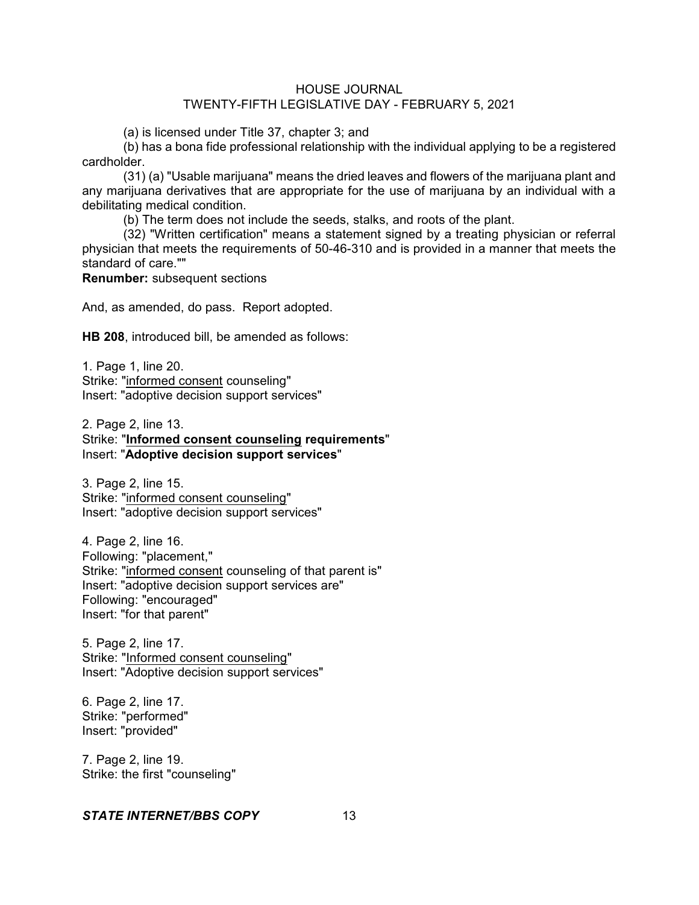(a) is licensed under Title 37, chapter 3; and

(b) has a bona fide professional relationship with the individual applying to be a registered cardholder.

(31) (a) "Usable marijuana" means the dried leaves and flowers of the marijuana plant and any marijuana derivatives that are appropriate for the use of marijuana by an individual with a debilitating medical condition.

(b) The term does not include the seeds, stalks, and roots of the plant.

(32) "Written certification" means a statement signed by a treating physician or referral physician that meets the requirements of 50-46-310 and is provided in a manner that meets the standard of care.""

**Renumber:** subsequent sections

And, as amended, do pass. Report adopted.

**HB 208**, introduced bill, be amended as follows:

1. Page 1, line 20. Strike: "informed consent counseling" Insert: "adoptive decision support services"

2. Page 2, line 13. Strike: "**Informed consent counseling requirements**" Insert: "**Adoptive decision support services**"

3. Page 2, line 15. Strike: "informed consent counseling" Insert: "adoptive decision support services"

4. Page 2, line 16. Following: "placement," Strike: "informed consent counseling of that parent is" Insert: "adoptive decision support services are" Following: "encouraged" Insert: "for that parent"

5. Page 2, line 17. Strike: "Informed consent counseling" Insert: "Adoptive decision support services"

6. Page 2, line 17. Strike: "performed" Insert: "provided"

7. Page 2, line 19. Strike: the first "counseling"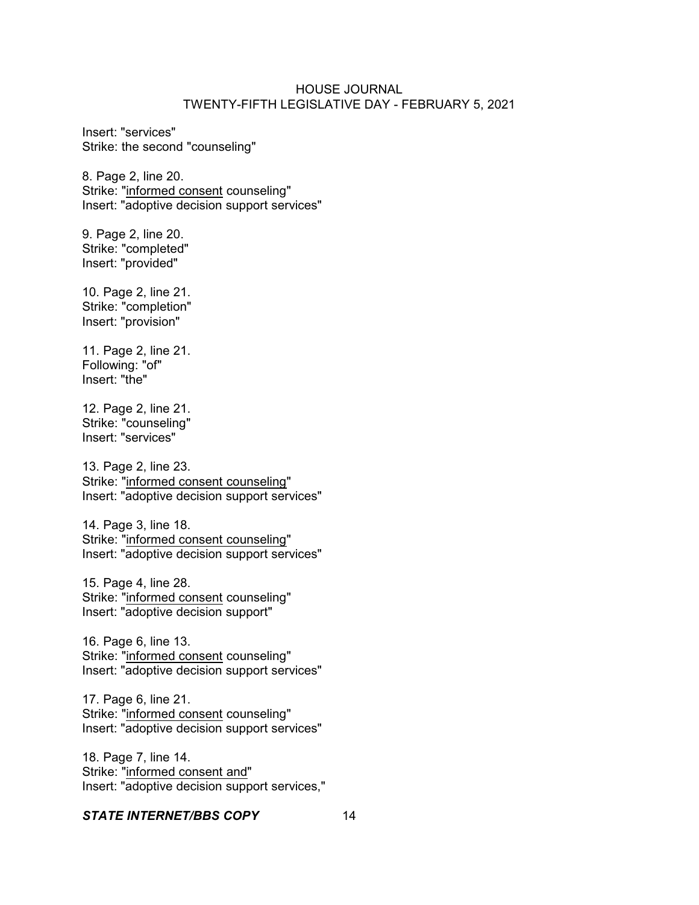Insert: "services" Strike: the second "counseling"

8. Page 2, line 20. Strike: "informed consent counseling" Insert: "adoptive decision support services"

9. Page 2, line 20. Strike: "completed" Insert: "provided"

10. Page 2, line 21. Strike: "completion" Insert: "provision"

11. Page 2, line 21. Following: "of" Insert: "the"

12. Page 2, line 21. Strike: "counseling" Insert: "services"

13. Page 2, line 23. Strike: "informed consent counseling" Insert: "adoptive decision support services"

14. Page 3, line 18. Strike: "informed consent counseling" Insert: "adoptive decision support services"

15. Page 4, line 28. Strike: "informed consent counseling" Insert: "adoptive decision support"

16. Page 6, line 13. Strike: "informed consent counseling" Insert: "adoptive decision support services"

17. Page 6, line 21. Strike: "informed consent counseling" Insert: "adoptive decision support services"

18. Page 7, line 14. Strike: "informed consent and" Insert: "adoptive decision support services,"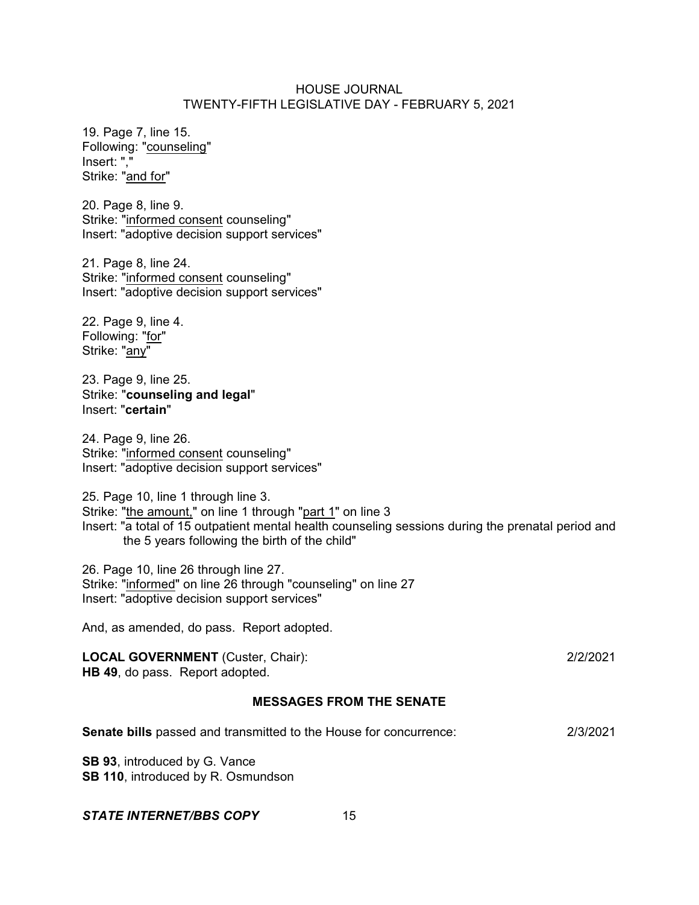19. Page 7, line 15. Following: "counseling" Insert: "," Strike: "and for"

20. Page 8, line 9. Strike: "informed consent counseling" Insert: "adoptive decision support services"

21. Page 8, line 24. Strike: "informed consent counseling" Insert: "adoptive decision support services"

22. Page 9, line 4. Following: "for" Strike: "any"

23. Page 9, line 25. Strike: "**counseling and legal**" Insert: "**certain**"

24. Page 9, line 26. Strike: "informed consent counseling" Insert: "adoptive decision support services"

25. Page 10, line 1 through line 3. Strike: "the amount," on line 1 through "part 1" on line 3 Insert: "a total of 15 outpatient mental health counseling sessions during the prenatal period and the 5 years following the birth of the child"

26. Page 10, line 26 through line 27. Strike: "informed" on line 26 through "counseling" on line 27 Insert: "adoptive decision support services"

And, as amended, do pass. Report adopted.

**LOCAL GOVERNMENT** (Custer, Chair): 2/2/2021 **HB 49**, do pass. Report adopted.

# **MESSAGES FROM THE SENATE**

| <b>Senate bills</b> passed and transmitted to the House for concurrence: | 2/3/2021 |
|--------------------------------------------------------------------------|----------|
|                                                                          |          |

**SB 93**, introduced by G. Vance **SB 110**, introduced by R. Osmundson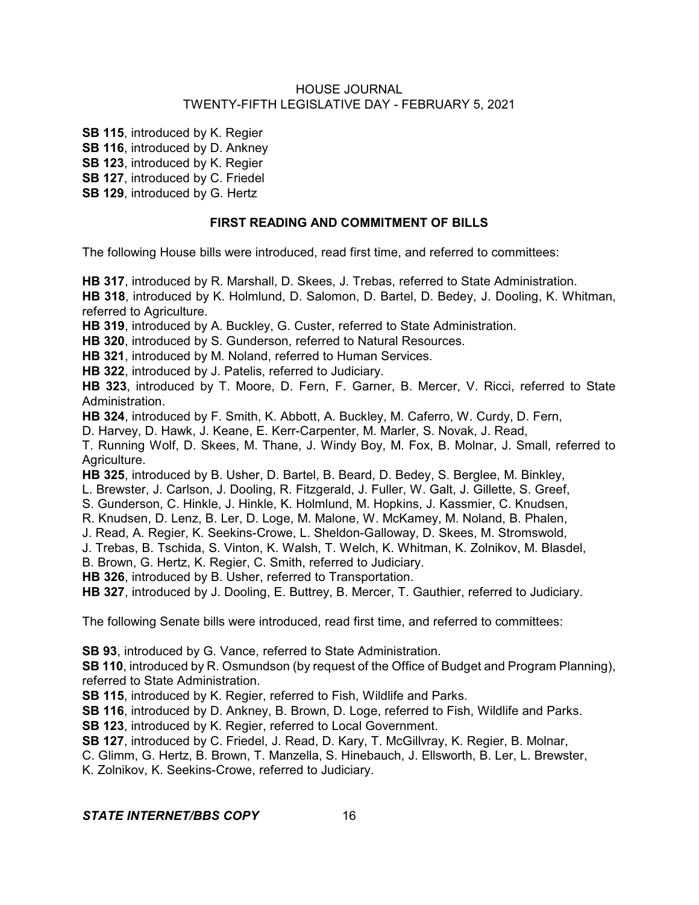**SB 115**, introduced by K. Regier

**SB 116**, introduced by D. Ankney

**SB 123**, introduced by K. Regier

**SB 127**, introduced by C. Friedel

**SB 129**, introduced by G. Hertz

# **FIRST READING AND COMMITMENT OF BILLS**

The following House bills were introduced, read first time, and referred to committees:

**HB 317**, introduced by R. Marshall, D. Skees, J. Trebas, referred to State Administration.

**HB 318**, introduced by K. Holmlund, D. Salomon, D. Bartel, D. Bedey, J. Dooling, K. Whitman, referred to Agriculture.

**HB 319**, introduced by A. Buckley, G. Custer, referred to State Administration.

**HB 320**, introduced by S. Gunderson, referred to Natural Resources.

**HB 321**, introduced by M. Noland, referred to Human Services.

**HB 322**, introduced by J. Patelis, referred to Judiciary.

**HB 323**, introduced by T. Moore, D. Fern, F. Garner, B. Mercer, V. Ricci, referred to State Administration.

**HB 324**, introduced by F. Smith, K. Abbott, A. Buckley, M. Caferro, W. Curdy, D. Fern,

D. Harvey, D. Hawk, J. Keane, E. Kerr-Carpenter, M. Marler, S. Novak, J. Read,

T. Running Wolf, D. Skees, M. Thane, J. Windy Boy, M. Fox, B. Molnar, J. Small, referred to Agriculture.

**HB 325**, introduced by B. Usher, D. Bartel, B. Beard, D. Bedey, S. Berglee, M. Binkley,

- L. Brewster, J. Carlson, J. Dooling, R. Fitzgerald, J. Fuller, W. Galt, J. Gillette, S. Greef,
- S. Gunderson, C. Hinkle, J. Hinkle, K. Holmlund, M. Hopkins, J. Kassmier, C. Knudsen,
- R. Knudsen, D. Lenz, B. Ler, D. Loge, M. Malone, W. McKamey, M. Noland, B. Phalen,
- J. Read, A. Regier, K. Seekins-Crowe, L. Sheldon-Galloway, D. Skees, M. Stromswold,
- J. Trebas, B. Tschida, S. Vinton, K. Walsh, T. Welch, K. Whitman, K. Zolnikov, M. Blasdel,

B. Brown, G. Hertz, K. Regier, C. Smith, referred to Judiciary.

**HB 326**, introduced by B. Usher, referred to Transportation.

**HB 327**, introduced by J. Dooling, E. Buttrey, B. Mercer, T. Gauthier, referred to Judiciary.

The following Senate bills were introduced, read first time, and referred to committees:

**SB 93**, introduced by G. Vance, referred to State Administration.

**SB 110**, introduced by R. Osmundson (by request of the Office of Budget and Program Planning), referred to State Administration.

**SB 115**, introduced by K. Regier, referred to Fish, Wildlife and Parks.

**SB 116**, introduced by D. Ankney, B. Brown, D. Loge, referred to Fish, Wildlife and Parks.

**SB 123**, introduced by K. Regier, referred to Local Government.

**SB 127**, introduced by C. Friedel, J. Read, D. Kary, T. McGillvray, K. Regier, B. Molnar,

C. Glimm, G. Hertz, B. Brown, T. Manzella, S. Hinebauch, J. Ellsworth, B. Ler, L. Brewster,

K. Zolnikov, K. Seekins-Crowe, referred to Judiciary.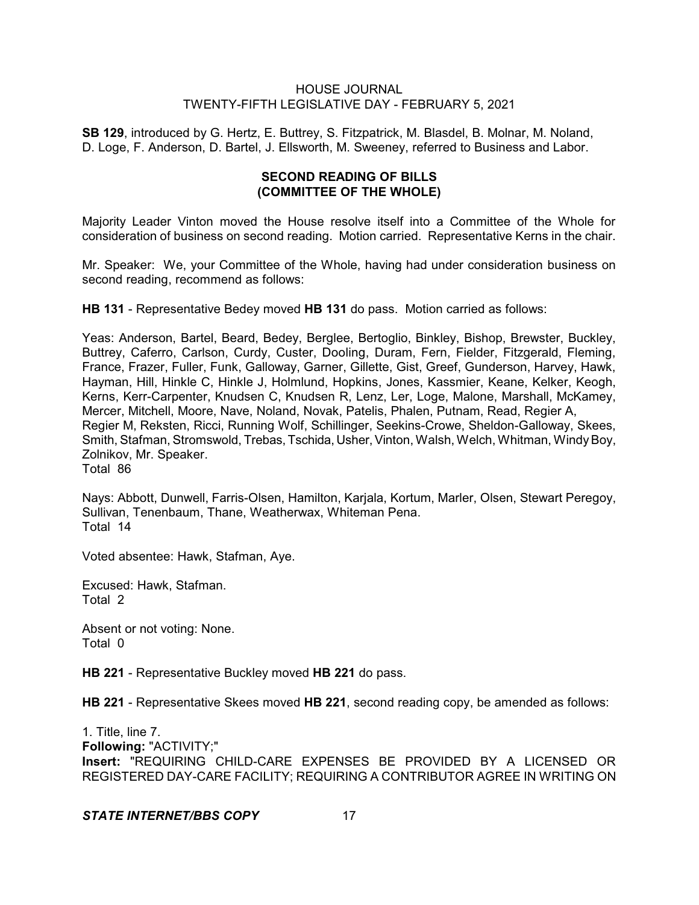**SB 129**, introduced by G. Hertz, E. Buttrey, S. Fitzpatrick, M. Blasdel, B. Molnar, M. Noland, D. Loge, F. Anderson, D. Bartel, J. Ellsworth, M. Sweeney, referred to Business and Labor.

# **SECOND READING OF BILLS (COMMITTEE OF THE WHOLE)**

Majority Leader Vinton moved the House resolve itself into a Committee of the Whole for consideration of business on second reading. Motion carried. Representative Kerns in the chair.

Mr. Speaker: We, your Committee of the Whole, having had under consideration business on second reading, recommend as follows:

**HB 131** - Representative Bedey moved **HB 131** do pass. Motion carried as follows:

Yeas: Anderson, Bartel, Beard, Bedey, Berglee, Bertoglio, Binkley, Bishop, Brewster, Buckley, Buttrey, Caferro, Carlson, Curdy, Custer, Dooling, Duram, Fern, Fielder, Fitzgerald, Fleming, France, Frazer, Fuller, Funk, Galloway, Garner, Gillette, Gist, Greef, Gunderson, Harvey, Hawk, Hayman, Hill, Hinkle C, Hinkle J, Holmlund, Hopkins, Jones, Kassmier, Keane, Kelker, Keogh, Kerns, Kerr-Carpenter, Knudsen C, Knudsen R, Lenz, Ler, Loge, Malone, Marshall, McKamey, Mercer, Mitchell, Moore, Nave, Noland, Novak, Patelis, Phalen, Putnam, Read, Regier A, Regier M, Reksten, Ricci, Running Wolf, Schillinger, Seekins-Crowe, Sheldon-Galloway, Skees, Smith, Stafman, Stromswold, Trebas, Tschida, Usher, Vinton, Walsh, Welch, Whitman, Windy Boy, Zolnikov, Mr. Speaker. Total 86

Nays: Abbott, Dunwell, Farris-Olsen, Hamilton, Karjala, Kortum, Marler, Olsen, Stewart Peregoy, Sullivan, Tenenbaum, Thane, Weatherwax, Whiteman Pena. Total 14

Voted absentee: Hawk, Stafman, Aye.

Excused: Hawk, Stafman. Total 2

Absent or not voting: None. Total 0

**HB 221** - Representative Buckley moved **HB 221** do pass.

**HB 221** - Representative Skees moved **HB 221**, second reading copy, be amended as follows:

1. Title, line 7. **Following:** "ACTIVITY;" **Insert:** "REQUIRING CHILD-CARE EXPENSES BE PROVIDED BY A LICENSED OR REGISTERED DAY-CARE FACILITY; REQUIRING A CONTRIBUTOR AGREE IN WRITING ON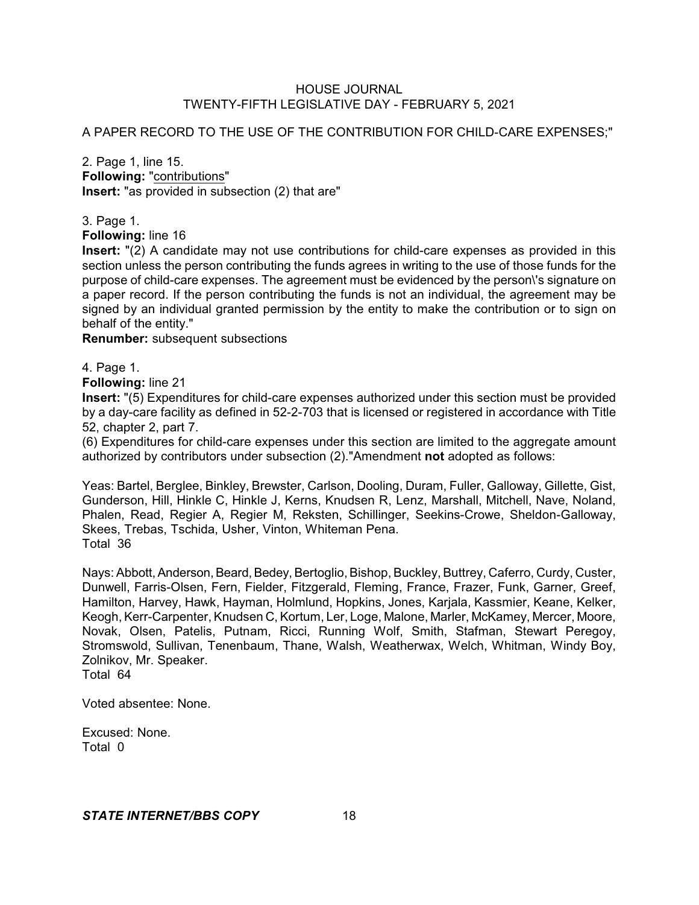A PAPER RECORD TO THE USE OF THE CONTRIBUTION FOR CHILD-CARE EXPENSES;"

2. Page 1, line 15. **Following:** "contributions" **Insert:** "as provided in subsection (2) that are"

3. Page 1.

**Following:** line 16

**Insert:** "(2) A candidate may not use contributions for child-care expenses as provided in this section unless the person contributing the funds agrees in writing to the use of those funds for the purpose of child-care expenses. The agreement must be evidenced by the person\'s signature on a paper record. If the person contributing the funds is not an individual, the agreement may be signed by an individual granted permission by the entity to make the contribution or to sign on behalf of the entity."

**Renumber:** subsequent subsections

4. Page 1.

**Following:** line 21

**Insert:** "(5) Expenditures for child-care expenses authorized under this section must be provided by a day-care facility as defined in 52-2-703 that is licensed or registered in accordance with Title 52, chapter 2, part 7.

(6) Expenditures for child-care expenses under this section are limited to the aggregate amount authorized by contributors under subsection (2)."Amendment **not** adopted as follows:

Yeas: Bartel, Berglee, Binkley, Brewster, Carlson, Dooling, Duram, Fuller, Galloway, Gillette, Gist, Gunderson, Hill, Hinkle C, Hinkle J, Kerns, Knudsen R, Lenz, Marshall, Mitchell, Nave, Noland, Phalen, Read, Regier A, Regier M, Reksten, Schillinger, Seekins-Crowe, Sheldon-Galloway, Skees, Trebas, Tschida, Usher, Vinton, Whiteman Pena. Total 36

Nays: Abbott, Anderson, Beard, Bedey, Bertoglio, Bishop, Buckley, Buttrey, Caferro, Curdy, Custer, Dunwell, Farris-Olsen, Fern, Fielder, Fitzgerald, Fleming, France, Frazer, Funk, Garner, Greef, Hamilton, Harvey, Hawk, Hayman, Holmlund, Hopkins, Jones, Karjala, Kassmier, Keane, Kelker, Keogh, Kerr-Carpenter, Knudsen C, Kortum, Ler, Loge, Malone, Marler, McKamey, Mercer, Moore, Novak, Olsen, Patelis, Putnam, Ricci, Running Wolf, Smith, Stafman, Stewart Peregoy, Stromswold, Sullivan, Tenenbaum, Thane, Walsh, Weatherwax, Welch, Whitman, Windy Boy, Zolnikov, Mr. Speaker. Total 64

Voted absentee: None.

Excused: None. Total 0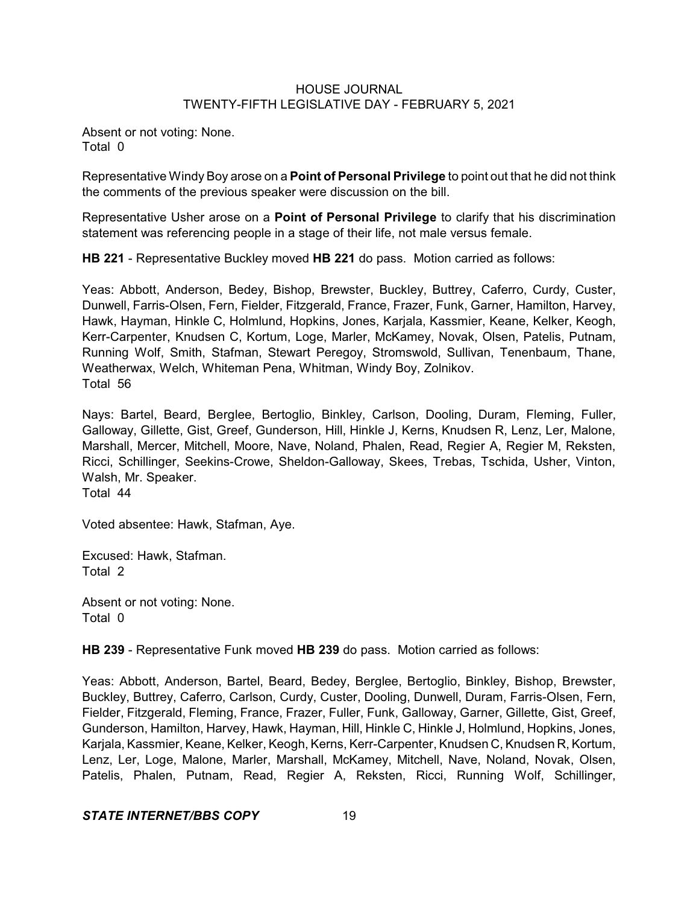Absent or not voting: None. Total 0

Representative Windy Boy arose on a **Point of Personal Privilege** to point out that he did not think the comments of the previous speaker were discussion on the bill.

Representative Usher arose on a **Point of Personal Privilege** to clarify that his discrimination statement was referencing people in a stage of their life, not male versus female.

**HB 221** - Representative Buckley moved **HB 221** do pass. Motion carried as follows:

Yeas: Abbott, Anderson, Bedey, Bishop, Brewster, Buckley, Buttrey, Caferro, Curdy, Custer, Dunwell, Farris-Olsen, Fern, Fielder, Fitzgerald, France, Frazer, Funk, Garner, Hamilton, Harvey, Hawk, Hayman, Hinkle C, Holmlund, Hopkins, Jones, Karjala, Kassmier, Keane, Kelker, Keogh, Kerr-Carpenter, Knudsen C, Kortum, Loge, Marler, McKamey, Novak, Olsen, Patelis, Putnam, Running Wolf, Smith, Stafman, Stewart Peregoy, Stromswold, Sullivan, Tenenbaum, Thane, Weatherwax, Welch, Whiteman Pena, Whitman, Windy Boy, Zolnikov. Total 56

Nays: Bartel, Beard, Berglee, Bertoglio, Binkley, Carlson, Dooling, Duram, Fleming, Fuller, Galloway, Gillette, Gist, Greef, Gunderson, Hill, Hinkle J, Kerns, Knudsen R, Lenz, Ler, Malone, Marshall, Mercer, Mitchell, Moore, Nave, Noland, Phalen, Read, Regier A, Regier M, Reksten, Ricci, Schillinger, Seekins-Crowe, Sheldon-Galloway, Skees, Trebas, Tschida, Usher, Vinton, Walsh, Mr. Speaker.

Total 44

Voted absentee: Hawk, Stafman, Aye.

Excused: Hawk, Stafman. Total 2

Absent or not voting: None. Total 0

**HB 239** - Representative Funk moved **HB 239** do pass. Motion carried as follows:

Yeas: Abbott, Anderson, Bartel, Beard, Bedey, Berglee, Bertoglio, Binkley, Bishop, Brewster, Buckley, Buttrey, Caferro, Carlson, Curdy, Custer, Dooling, Dunwell, Duram, Farris-Olsen, Fern, Fielder, Fitzgerald, Fleming, France, Frazer, Fuller, Funk, Galloway, Garner, Gillette, Gist, Greef, Gunderson, Hamilton, Harvey, Hawk, Hayman, Hill, Hinkle C, Hinkle J, Holmlund, Hopkins, Jones, Karjala, Kassmier, Keane, Kelker, Keogh, Kerns, Kerr-Carpenter, Knudsen C, Knudsen R, Kortum, Lenz, Ler, Loge, Malone, Marler, Marshall, McKamey, Mitchell, Nave, Noland, Novak, Olsen, Patelis, Phalen, Putnam, Read, Regier A, Reksten, Ricci, Running Wolf, Schillinger,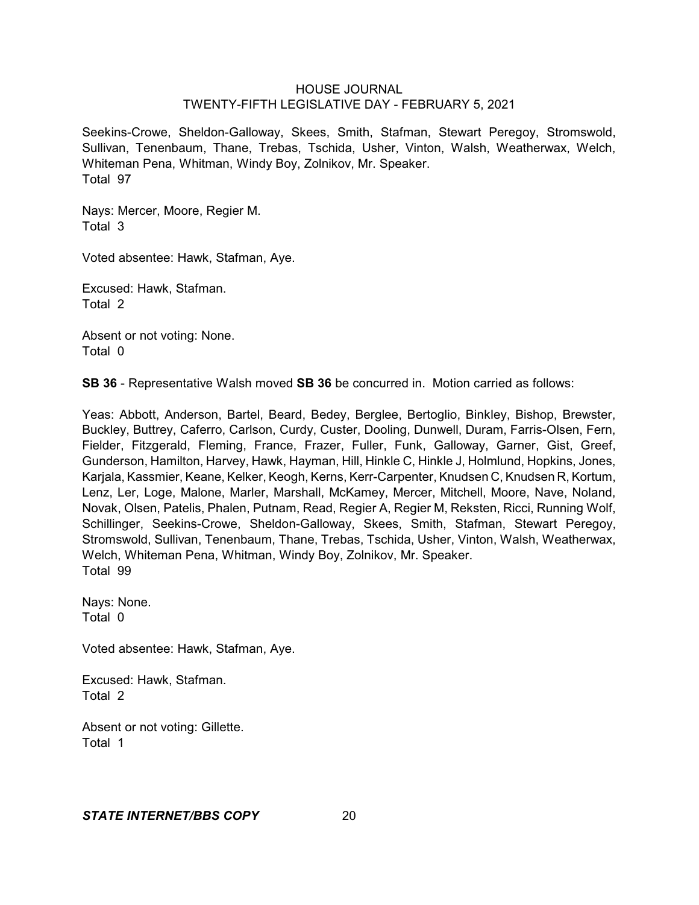Seekins-Crowe, Sheldon-Galloway, Skees, Smith, Stafman, Stewart Peregoy, Stromswold, Sullivan, Tenenbaum, Thane, Trebas, Tschida, Usher, Vinton, Walsh, Weatherwax, Welch, Whiteman Pena, Whitman, Windy Boy, Zolnikov, Mr. Speaker. Total 97

Nays: Mercer, Moore, Regier M. Total 3

Voted absentee: Hawk, Stafman, Aye.

Excused: Hawk, Stafman. Total 2

Absent or not voting: None. Total 0

**SB 36** - Representative Walsh moved **SB 36** be concurred in. Motion carried as follows:

Yeas: Abbott, Anderson, Bartel, Beard, Bedey, Berglee, Bertoglio, Binkley, Bishop, Brewster, Buckley, Buttrey, Caferro, Carlson, Curdy, Custer, Dooling, Dunwell, Duram, Farris-Olsen, Fern, Fielder, Fitzgerald, Fleming, France, Frazer, Fuller, Funk, Galloway, Garner, Gist, Greef, Gunderson, Hamilton, Harvey, Hawk, Hayman, Hill, Hinkle C, Hinkle J, Holmlund, Hopkins, Jones, Karjala, Kassmier, Keane, Kelker, Keogh, Kerns, Kerr-Carpenter, Knudsen C, Knudsen R, Kortum, Lenz, Ler, Loge, Malone, Marler, Marshall, McKamey, Mercer, Mitchell, Moore, Nave, Noland, Novak, Olsen, Patelis, Phalen, Putnam, Read, Regier A, Regier M, Reksten, Ricci, Running Wolf, Schillinger, Seekins-Crowe, Sheldon-Galloway, Skees, Smith, Stafman, Stewart Peregoy, Stromswold, Sullivan, Tenenbaum, Thane, Trebas, Tschida, Usher, Vinton, Walsh, Weatherwax, Welch, Whiteman Pena, Whitman, Windy Boy, Zolnikov, Mr. Speaker. Total 99

Nays: None. Total 0

Voted absentee: Hawk, Stafman, Aye.

Excused: Hawk, Stafman. Total 2

Absent or not voting: Gillette. Total 1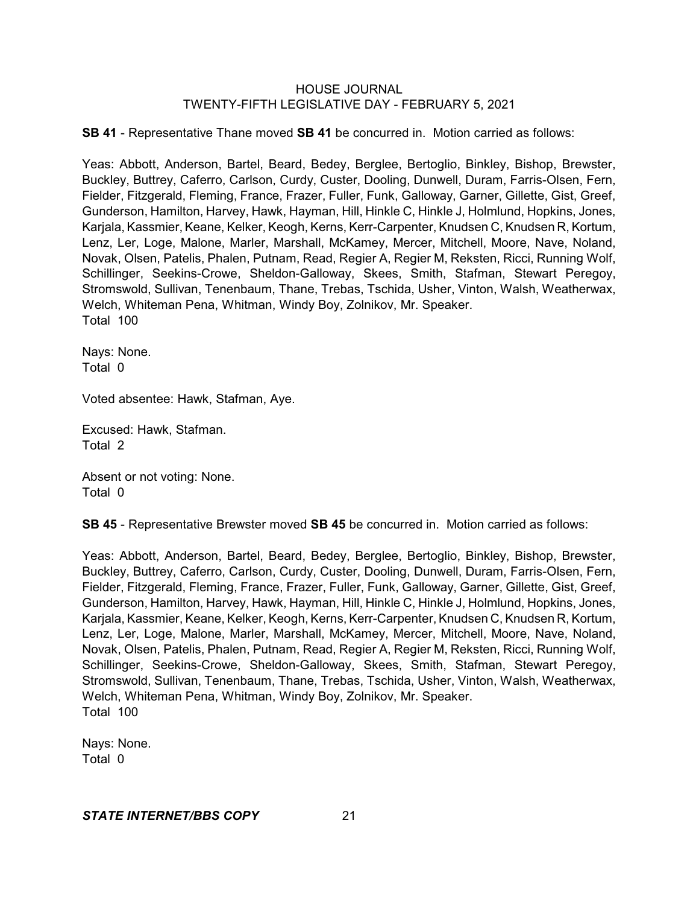**SB 41** - Representative Thane moved **SB 41** be concurred in. Motion carried as follows:

Yeas: Abbott, Anderson, Bartel, Beard, Bedey, Berglee, Bertoglio, Binkley, Bishop, Brewster, Buckley, Buttrey, Caferro, Carlson, Curdy, Custer, Dooling, Dunwell, Duram, Farris-Olsen, Fern, Fielder, Fitzgerald, Fleming, France, Frazer, Fuller, Funk, Galloway, Garner, Gillette, Gist, Greef, Gunderson, Hamilton, Harvey, Hawk, Hayman, Hill, Hinkle C, Hinkle J, Holmlund, Hopkins, Jones, Karjala, Kassmier, Keane, Kelker, Keogh, Kerns, Kerr-Carpenter, Knudsen C, Knudsen R, Kortum, Lenz, Ler, Loge, Malone, Marler, Marshall, McKamey, Mercer, Mitchell, Moore, Nave, Noland, Novak, Olsen, Patelis, Phalen, Putnam, Read, Regier A, Regier M, Reksten, Ricci, Running Wolf, Schillinger, Seekins-Crowe, Sheldon-Galloway, Skees, Smith, Stafman, Stewart Peregoy, Stromswold, Sullivan, Tenenbaum, Thane, Trebas, Tschida, Usher, Vinton, Walsh, Weatherwax, Welch, Whiteman Pena, Whitman, Windy Boy, Zolnikov, Mr. Speaker. Total 100

Nays: None. Total 0

Voted absentee: Hawk, Stafman, Aye.

Excused: Hawk, Stafman. Total 2

Absent or not voting: None. Total 0

**SB 45** - Representative Brewster moved **SB 45** be concurred in. Motion carried as follows:

Yeas: Abbott, Anderson, Bartel, Beard, Bedey, Berglee, Bertoglio, Binkley, Bishop, Brewster, Buckley, Buttrey, Caferro, Carlson, Curdy, Custer, Dooling, Dunwell, Duram, Farris-Olsen, Fern, Fielder, Fitzgerald, Fleming, France, Frazer, Fuller, Funk, Galloway, Garner, Gillette, Gist, Greef, Gunderson, Hamilton, Harvey, Hawk, Hayman, Hill, Hinkle C, Hinkle J, Holmlund, Hopkins, Jones, Karjala, Kassmier, Keane, Kelker, Keogh,Kerns, Kerr-Carpenter, Knudsen C, Knudsen R, Kortum, Lenz, Ler, Loge, Malone, Marler, Marshall, McKamey, Mercer, Mitchell, Moore, Nave, Noland, Novak, Olsen, Patelis, Phalen, Putnam, Read, Regier A, Regier M, Reksten, Ricci, Running Wolf, Schillinger, Seekins-Crowe, Sheldon-Galloway, Skees, Smith, Stafman, Stewart Peregoy, Stromswold, Sullivan, Tenenbaum, Thane, Trebas, Tschida, Usher, Vinton, Walsh, Weatherwax, Welch, Whiteman Pena, Whitman, Windy Boy, Zolnikov, Mr. Speaker. Total 100

Nays: None. Total 0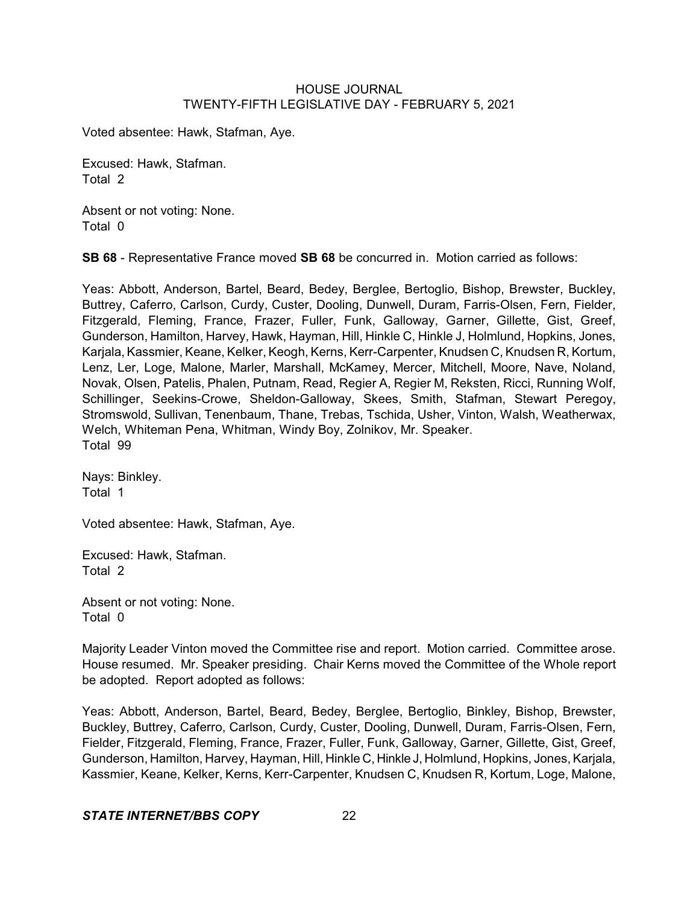Voted absentee: Hawk, Stafman, Aye.

Excused: Hawk, Stafman. Total 2

Absent or not voting: None. Total 0

**SB 68** - Representative France moved **SB 68** be concurred in. Motion carried as follows:

Yeas: Abbott, Anderson, Bartel, Beard, Bedey, Berglee, Bertoglio, Bishop, Brewster, Buckley, Buttrey, Caferro, Carlson, Curdy, Custer, Dooling, Dunwell, Duram, Farris-Olsen, Fern, Fielder, Fitzgerald, Fleming, France, Frazer, Fuller, Funk, Galloway, Garner, Gillette, Gist, Greef, Gunderson, Hamilton, Harvey, Hawk, Hayman, Hill, Hinkle C, Hinkle J, Holmlund, Hopkins, Jones, Karjala, Kassmier, Keane, Kelker, Keogh, Kerns, Kerr-Carpenter, Knudsen C, Knudsen R, Kortum, Lenz, Ler, Loge, Malone, Marler, Marshall, McKamey, Mercer, Mitchell, Moore, Nave, Noland, Novak, Olsen, Patelis, Phalen, Putnam, Read, Regier A, Regier M, Reksten, Ricci, Running Wolf, Schillinger, Seekins-Crowe, Sheldon-Galloway, Skees, Smith, Stafman, Stewart Peregoy, Stromswold, Sullivan, Tenenbaum, Thane, Trebas, Tschida, Usher, Vinton, Walsh, Weatherwax, Welch, Whiteman Pena, Whitman, Windy Boy, Zolnikov, Mr. Speaker. Total 99

Nays: Binkley. Total 1

Voted absentee: Hawk, Stafman, Aye.

Excused: Hawk, Stafman. Total 2

Absent or not voting: None. Total 0

Majority Leader Vinton moved the Committee rise and report. Motion carried. Committee arose. House resumed. Mr. Speaker presiding. Chair Kerns moved the Committee of the Whole report be adopted. Report adopted as follows:

Yeas: Abbott, Anderson, Bartel, Beard, Bedey, Berglee, Bertoglio, Binkley, Bishop, Brewster, Buckley, Buttrey, Caferro, Carlson, Curdy, Custer, Dooling, Dunwell, Duram, Farris-Olsen, Fern, Fielder, Fitzgerald, Fleming, France, Frazer, Fuller, Funk, Galloway, Garner, Gillette, Gist, Greef, Gunderson, Hamilton, Harvey, Hayman, Hill, Hinkle C, Hinkle J, Holmlund, Hopkins, Jones, Karjala, Kassmier, Keane, Kelker, Kerns, Kerr-Carpenter, Knudsen C, Knudsen R, Kortum, Loge, Malone,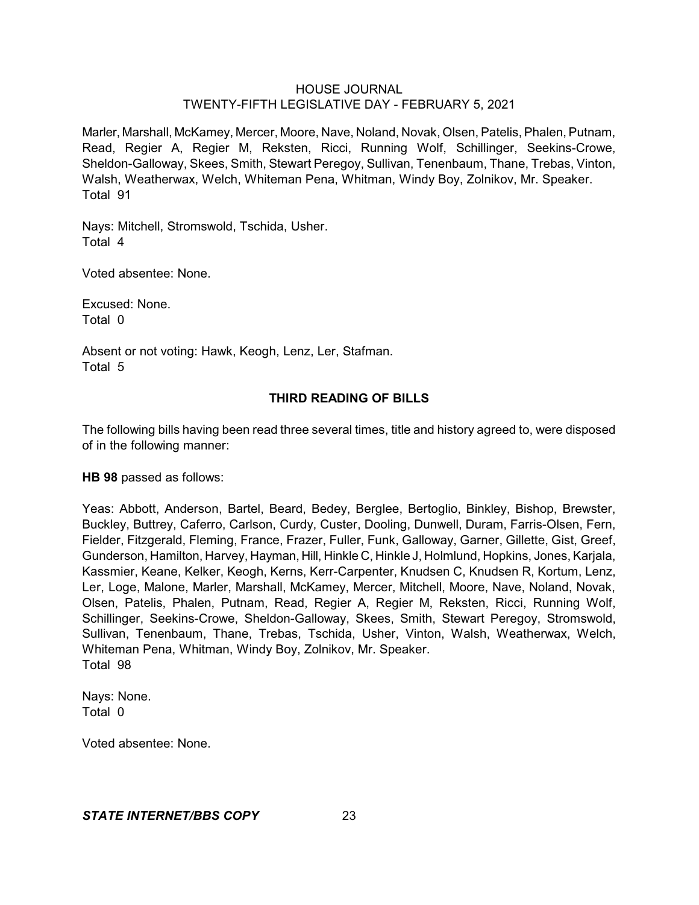Marler, Marshall, McKamey, Mercer, Moore, Nave, Noland, Novak, Olsen, Patelis, Phalen, Putnam, Read, Regier A, Regier M, Reksten, Ricci, Running Wolf, Schillinger, Seekins-Crowe, Sheldon-Galloway, Skees, Smith, Stewart Peregoy, Sullivan, Tenenbaum, Thane, Trebas, Vinton, Walsh, Weatherwax, Welch, Whiteman Pena, Whitman, Windy Boy, Zolnikov, Mr. Speaker. Total 91

Nays: Mitchell, Stromswold, Tschida, Usher. Total 4

Voted absentee: None.

Excused: None. Total 0

Absent or not voting: Hawk, Keogh, Lenz, Ler, Stafman. Total 5

# **THIRD READING OF BILLS**

The following bills having been read three several times, title and history agreed to, were disposed of in the following manner:

**HB 98** passed as follows:

Yeas: Abbott, Anderson, Bartel, Beard, Bedey, Berglee, Bertoglio, Binkley, Bishop, Brewster, Buckley, Buttrey, Caferro, Carlson, Curdy, Custer, Dooling, Dunwell, Duram, Farris-Olsen, Fern, Fielder, Fitzgerald, Fleming, France, Frazer, Fuller, Funk, Galloway, Garner, Gillette, Gist, Greef, Gunderson, Hamilton, Harvey, Hayman, Hill, Hinkle C, Hinkle J, Holmlund, Hopkins, Jones, Karjala, Kassmier, Keane, Kelker, Keogh, Kerns, Kerr-Carpenter, Knudsen C, Knudsen R, Kortum, Lenz, Ler, Loge, Malone, Marler, Marshall, McKamey, Mercer, Mitchell, Moore, Nave, Noland, Novak, Olsen, Patelis, Phalen, Putnam, Read, Regier A, Regier M, Reksten, Ricci, Running Wolf, Schillinger, Seekins-Crowe, Sheldon-Galloway, Skees, Smith, Stewart Peregoy, Stromswold, Sullivan, Tenenbaum, Thane, Trebas, Tschida, Usher, Vinton, Walsh, Weatherwax, Welch, Whiteman Pena, Whitman, Windy Boy, Zolnikov, Mr. Speaker. Total 98

Nays: None. Total 0

Voted absentee: None.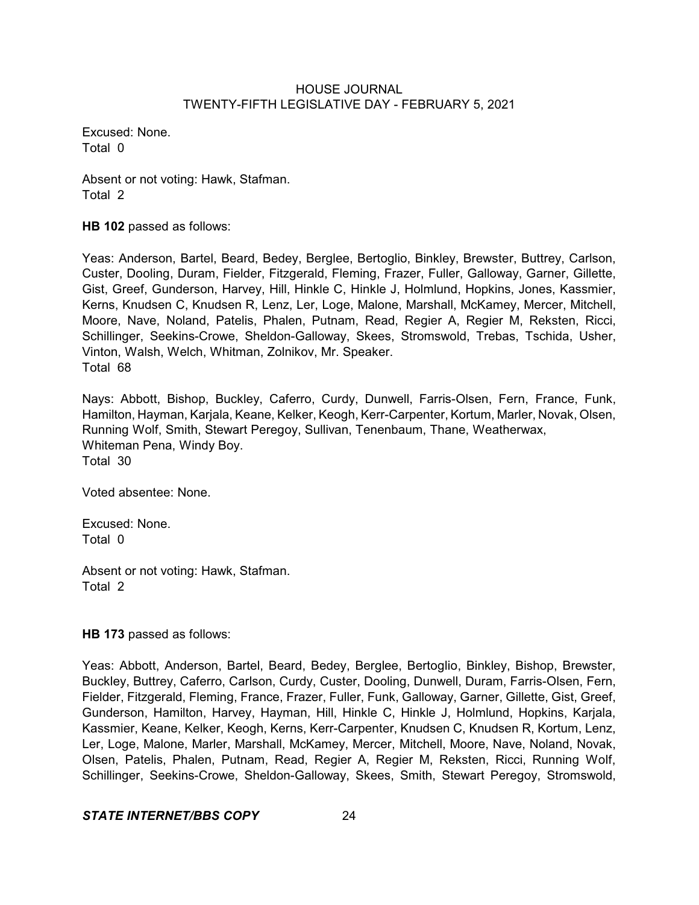Excused: None. Total 0

Absent or not voting: Hawk, Stafman. Total 2

**HB 102** passed as follows:

Yeas: Anderson, Bartel, Beard, Bedey, Berglee, Bertoglio, Binkley, Brewster, Buttrey, Carlson, Custer, Dooling, Duram, Fielder, Fitzgerald, Fleming, Frazer, Fuller, Galloway, Garner, Gillette, Gist, Greef, Gunderson, Harvey, Hill, Hinkle C, Hinkle J, Holmlund, Hopkins, Jones, Kassmier, Kerns, Knudsen C, Knudsen R, Lenz, Ler, Loge, Malone, Marshall, McKamey, Mercer, Mitchell, Moore, Nave, Noland, Patelis, Phalen, Putnam, Read, Regier A, Regier M, Reksten, Ricci, Schillinger, Seekins-Crowe, Sheldon-Galloway, Skees, Stromswold, Trebas, Tschida, Usher, Vinton, Walsh, Welch, Whitman, Zolnikov, Mr. Speaker. Total 68

Nays: Abbott, Bishop, Buckley, Caferro, Curdy, Dunwell, Farris-Olsen, Fern, France, Funk, Hamilton, Hayman, Karjala, Keane, Kelker, Keogh, Kerr-Carpenter, Kortum, Marler, Novak, Olsen, Running Wolf, Smith, Stewart Peregoy, Sullivan, Tenenbaum, Thane, Weatherwax, Whiteman Pena, Windy Boy. Total 30

Voted absentee: None.

Excused: None. Total 0

Absent or not voting: Hawk, Stafman. Total 2

# **HB 173** passed as follows:

Yeas: Abbott, Anderson, Bartel, Beard, Bedey, Berglee, Bertoglio, Binkley, Bishop, Brewster, Buckley, Buttrey, Caferro, Carlson, Curdy, Custer, Dooling, Dunwell, Duram, Farris-Olsen, Fern, Fielder, Fitzgerald, Fleming, France, Frazer, Fuller, Funk, Galloway, Garner, Gillette, Gist, Greef, Gunderson, Hamilton, Harvey, Hayman, Hill, Hinkle C, Hinkle J, Holmlund, Hopkins, Karjala, Kassmier, Keane, Kelker, Keogh, Kerns, Kerr-Carpenter, Knudsen C, Knudsen R, Kortum, Lenz, Ler, Loge, Malone, Marler, Marshall, McKamey, Mercer, Mitchell, Moore, Nave, Noland, Novak, Olsen, Patelis, Phalen, Putnam, Read, Regier A, Regier M, Reksten, Ricci, Running Wolf, Schillinger, Seekins-Crowe, Sheldon-Galloway, Skees, Smith, Stewart Peregoy, Stromswold,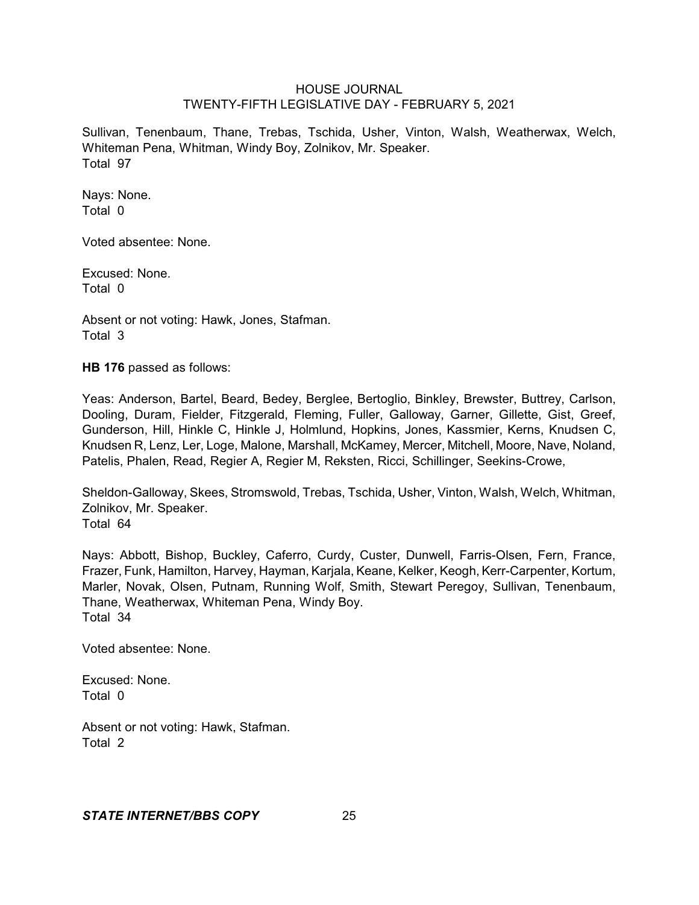Sullivan, Tenenbaum, Thane, Trebas, Tschida, Usher, Vinton, Walsh, Weatherwax, Welch, Whiteman Pena, Whitman, Windy Boy, Zolnikov, Mr. Speaker. Total 97

Nays: None. Total 0

Voted absentee: None.

Excused: None. Total 0

Absent or not voting: Hawk, Jones, Stafman. Total 3

**HB 176** passed as follows:

Yeas: Anderson, Bartel, Beard, Bedey, Berglee, Bertoglio, Binkley, Brewster, Buttrey, Carlson, Dooling, Duram, Fielder, Fitzgerald, Fleming, Fuller, Galloway, Garner, Gillette, Gist, Greef, Gunderson, Hill, Hinkle C, Hinkle J, Holmlund, Hopkins, Jones, Kassmier, Kerns, Knudsen C, Knudsen R, Lenz, Ler, Loge, Malone, Marshall, McKamey, Mercer, Mitchell, Moore, Nave, Noland, Patelis, Phalen, Read, Regier A, Regier M, Reksten, Ricci, Schillinger, Seekins-Crowe,

Sheldon-Galloway, Skees, Stromswold, Trebas, Tschida, Usher, Vinton, Walsh, Welch, Whitman, Zolnikov, Mr. Speaker. Total 64

Nays: Abbott, Bishop, Buckley, Caferro, Curdy, Custer, Dunwell, Farris-Olsen, Fern, France, Frazer, Funk, Hamilton, Harvey, Hayman, Karjala, Keane, Kelker, Keogh, Kerr-Carpenter, Kortum, Marler, Novak, Olsen, Putnam, Running Wolf, Smith, Stewart Peregoy, Sullivan, Tenenbaum, Thane, Weatherwax, Whiteman Pena, Windy Boy. Total 34

Voted absentee: None.

Excused: None. Total 0

Absent or not voting: Hawk, Stafman. Total 2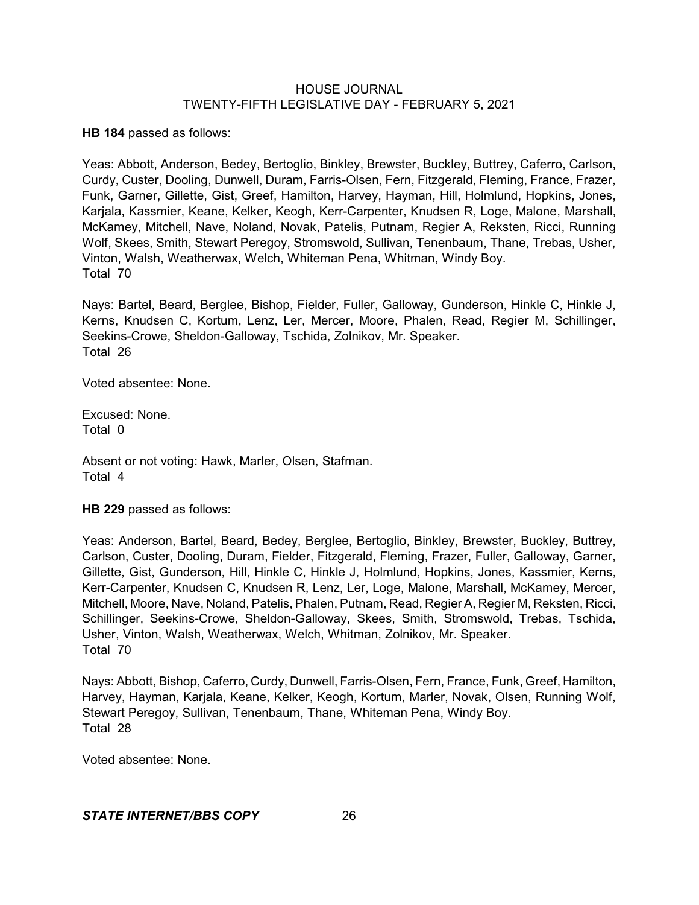**HB 184** passed as follows:

Yeas: Abbott, Anderson, Bedey, Bertoglio, Binkley, Brewster, Buckley, Buttrey, Caferro, Carlson, Curdy, Custer, Dooling, Dunwell, Duram, Farris-Olsen, Fern, Fitzgerald, Fleming, France, Frazer, Funk, Garner, Gillette, Gist, Greef, Hamilton, Harvey, Hayman, Hill, Holmlund, Hopkins, Jones, Karjala, Kassmier, Keane, Kelker, Keogh, Kerr-Carpenter, Knudsen R, Loge, Malone, Marshall, McKamey, Mitchell, Nave, Noland, Novak, Patelis, Putnam, Regier A, Reksten, Ricci, Running Wolf, Skees, Smith, Stewart Peregoy, Stromswold, Sullivan, Tenenbaum, Thane, Trebas, Usher, Vinton, Walsh, Weatherwax, Welch, Whiteman Pena, Whitman, Windy Boy. Total 70

Nays: Bartel, Beard, Berglee, Bishop, Fielder, Fuller, Galloway, Gunderson, Hinkle C, Hinkle J, Kerns, Knudsen C, Kortum, Lenz, Ler, Mercer, Moore, Phalen, Read, Regier M, Schillinger, Seekins-Crowe, Sheldon-Galloway, Tschida, Zolnikov, Mr. Speaker. Total 26

Voted absentee: None.

Excused: None. Total 0

Absent or not voting: Hawk, Marler, Olsen, Stafman. Total 4

**HB 229** passed as follows:

Yeas: Anderson, Bartel, Beard, Bedey, Berglee, Bertoglio, Binkley, Brewster, Buckley, Buttrey, Carlson, Custer, Dooling, Duram, Fielder, Fitzgerald, Fleming, Frazer, Fuller, Galloway, Garner, Gillette, Gist, Gunderson, Hill, Hinkle C, Hinkle J, Holmlund, Hopkins, Jones, Kassmier, Kerns, Kerr-Carpenter, Knudsen C, Knudsen R, Lenz, Ler, Loge, Malone, Marshall, McKamey, Mercer, Mitchell, Moore, Nave, Noland, Patelis, Phalen, Putnam, Read, Regier A, Regier M, Reksten, Ricci, Schillinger, Seekins-Crowe, Sheldon-Galloway, Skees, Smith, Stromswold, Trebas, Tschida, Usher, Vinton, Walsh, Weatherwax, Welch, Whitman, Zolnikov, Mr. Speaker. Total 70

Nays: Abbott, Bishop, Caferro, Curdy, Dunwell, Farris-Olsen, Fern, France, Funk, Greef, Hamilton, Harvey, Hayman, Karjala, Keane, Kelker, Keogh, Kortum, Marler, Novak, Olsen, Running Wolf, Stewart Peregoy, Sullivan, Tenenbaum, Thane, Whiteman Pena, Windy Boy. Total 28

Voted absentee: None.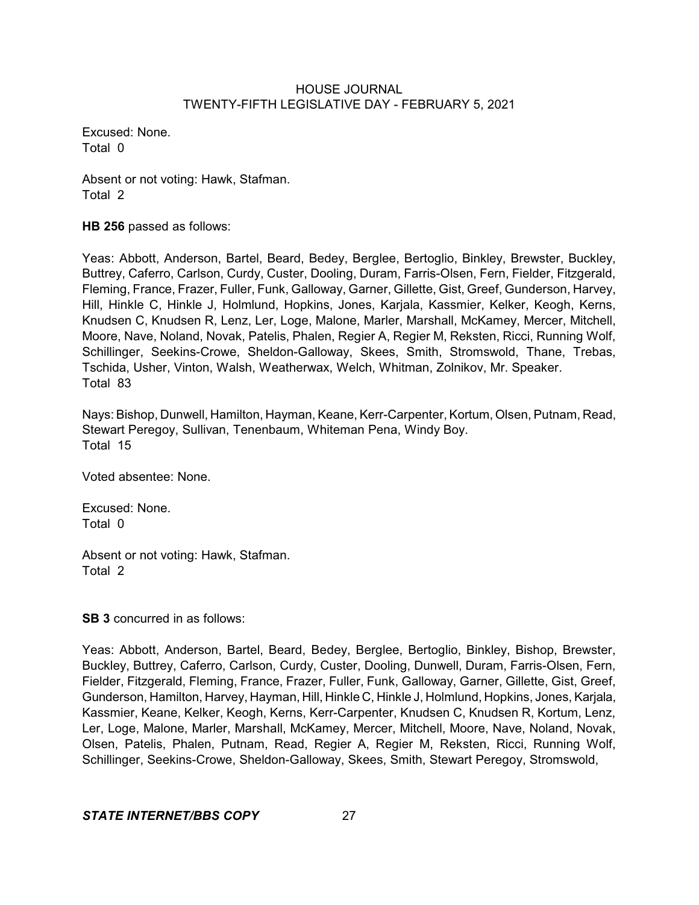Excused: None. Total 0

Absent or not voting: Hawk, Stafman. Total 2

**HB 256** passed as follows:

Yeas: Abbott, Anderson, Bartel, Beard, Bedey, Berglee, Bertoglio, Binkley, Brewster, Buckley, Buttrey, Caferro, Carlson, Curdy, Custer, Dooling, Duram, Farris-Olsen, Fern, Fielder, Fitzgerald, Fleming, France, Frazer, Fuller, Funk, Galloway, Garner, Gillette, Gist, Greef, Gunderson, Harvey, Hill, Hinkle C, Hinkle J, Holmlund, Hopkins, Jones, Karjala, Kassmier, Kelker, Keogh, Kerns, Knudsen C, Knudsen R, Lenz, Ler, Loge, Malone, Marler, Marshall, McKamey, Mercer, Mitchell, Moore, Nave, Noland, Novak, Patelis, Phalen, Regier A, Regier M, Reksten, Ricci, Running Wolf, Schillinger, Seekins-Crowe, Sheldon-Galloway, Skees, Smith, Stromswold, Thane, Trebas, Tschida, Usher, Vinton, Walsh, Weatherwax, Welch, Whitman, Zolnikov, Mr. Speaker. Total 83

Nays: Bishop, Dunwell, Hamilton, Hayman, Keane, Kerr-Carpenter, Kortum, Olsen, Putnam, Read, Stewart Peregoy, Sullivan, Tenenbaum, Whiteman Pena, Windy Boy. Total 15

Voted absentee: None.

Excused: None. Total 0

Absent or not voting: Hawk, Stafman. Total 2

**SB 3** concurred in as follows:

Yeas: Abbott, Anderson, Bartel, Beard, Bedey, Berglee, Bertoglio, Binkley, Bishop, Brewster, Buckley, Buttrey, Caferro, Carlson, Curdy, Custer, Dooling, Dunwell, Duram, Farris-Olsen, Fern, Fielder, Fitzgerald, Fleming, France, Frazer, Fuller, Funk, Galloway, Garner, Gillette, Gist, Greef, Gunderson, Hamilton, Harvey, Hayman, Hill, Hinkle C, Hinkle J, Holmlund, Hopkins, Jones, Karjala, Kassmier, Keane, Kelker, Keogh, Kerns, Kerr-Carpenter, Knudsen C, Knudsen R, Kortum, Lenz, Ler, Loge, Malone, Marler, Marshall, McKamey, Mercer, Mitchell, Moore, Nave, Noland, Novak, Olsen, Patelis, Phalen, Putnam, Read, Regier A, Regier M, Reksten, Ricci, Running Wolf, Schillinger, Seekins-Crowe, Sheldon-Galloway, Skees, Smith, Stewart Peregoy, Stromswold,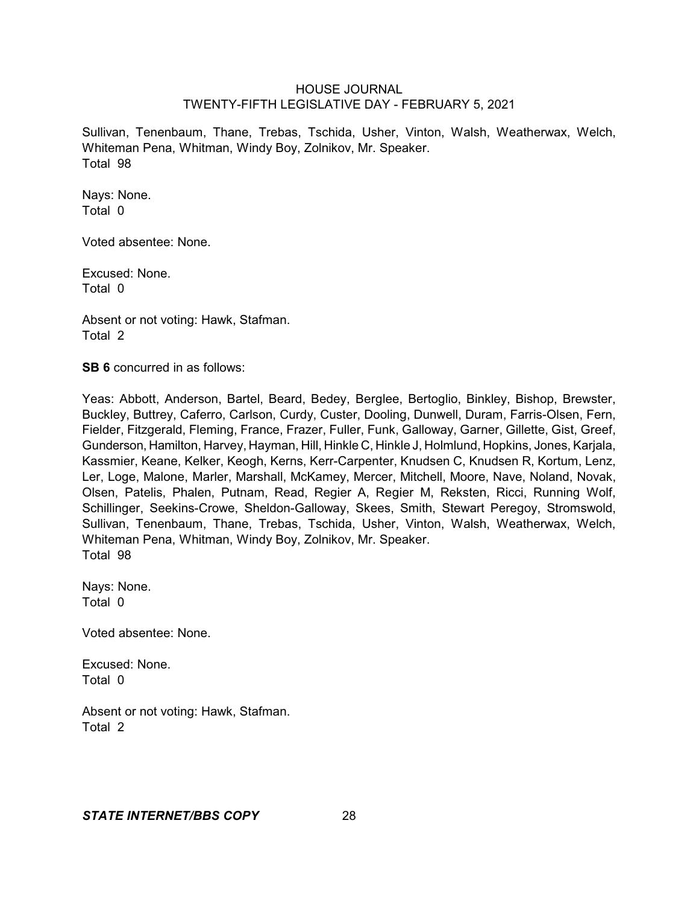Sullivan, Tenenbaum, Thane, Trebas, Tschida, Usher, Vinton, Walsh, Weatherwax, Welch, Whiteman Pena, Whitman, Windy Boy, Zolnikov, Mr. Speaker. Total 98

Nays: None. Total 0

Voted absentee: None.

Excused: None. Total 0

Absent or not voting: Hawk, Stafman. Total 2

**SB 6** concurred in as follows:

Yeas: Abbott, Anderson, Bartel, Beard, Bedey, Berglee, Bertoglio, Binkley, Bishop, Brewster, Buckley, Buttrey, Caferro, Carlson, Curdy, Custer, Dooling, Dunwell, Duram, Farris-Olsen, Fern, Fielder, Fitzgerald, Fleming, France, Frazer, Fuller, Funk, Galloway, Garner, Gillette, Gist, Greef, Gunderson, Hamilton, Harvey, Hayman, Hill, Hinkle C, Hinkle J, Holmlund, Hopkins, Jones, Karjala, Kassmier, Keane, Kelker, Keogh, Kerns, Kerr-Carpenter, Knudsen C, Knudsen R, Kortum, Lenz, Ler, Loge, Malone, Marler, Marshall, McKamey, Mercer, Mitchell, Moore, Nave, Noland, Novak, Olsen, Patelis, Phalen, Putnam, Read, Regier A, Regier M, Reksten, Ricci, Running Wolf, Schillinger, Seekins-Crowe, Sheldon-Galloway, Skees, Smith, Stewart Peregoy, Stromswold, Sullivan, Tenenbaum, Thane, Trebas, Tschida, Usher, Vinton, Walsh, Weatherwax, Welch, Whiteman Pena, Whitman, Windy Boy, Zolnikov, Mr. Speaker. Total 98

Nays: None. Total 0

Voted absentee: None.

Excused: None. Total 0

Absent or not voting: Hawk, Stafman. Total 2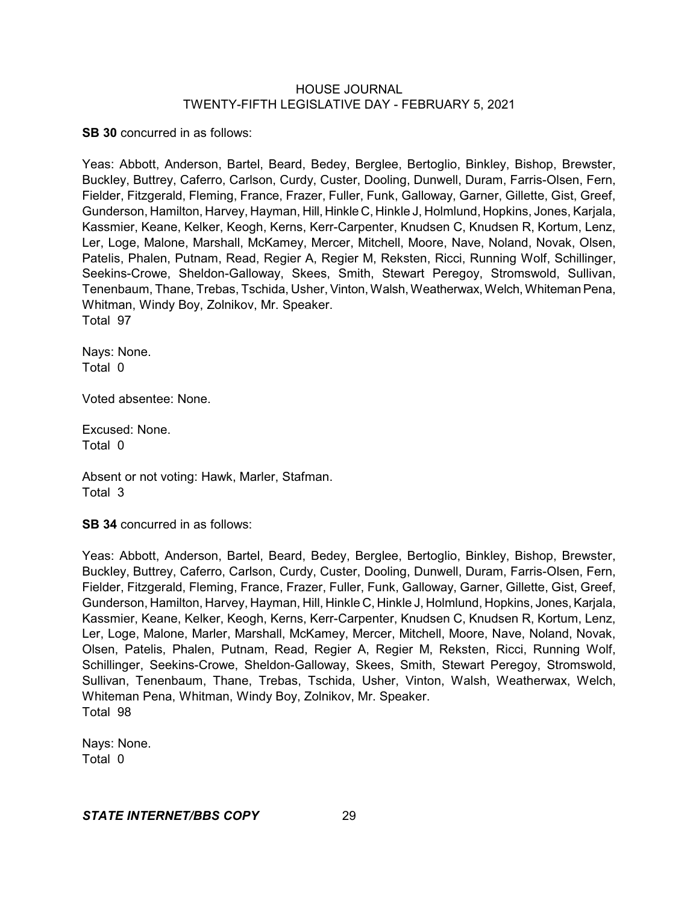**SB 30** concurred in as follows:

Yeas: Abbott, Anderson, Bartel, Beard, Bedey, Berglee, Bertoglio, Binkley, Bishop, Brewster, Buckley, Buttrey, Caferro, Carlson, Curdy, Custer, Dooling, Dunwell, Duram, Farris-Olsen, Fern, Fielder, Fitzgerald, Fleming, France, Frazer, Fuller, Funk, Galloway, Garner, Gillette, Gist, Greef, Gunderson, Hamilton, Harvey, Hayman, Hill, Hinkle C, Hinkle J, Holmlund, Hopkins, Jones, Karjala, Kassmier, Keane, Kelker, Keogh, Kerns, Kerr-Carpenter, Knudsen C, Knudsen R, Kortum, Lenz, Ler, Loge, Malone, Marshall, McKamey, Mercer, Mitchell, Moore, Nave, Noland, Novak, Olsen, Patelis, Phalen, Putnam, Read, Regier A, Regier M, Reksten, Ricci, Running Wolf, Schillinger, Seekins-Crowe, Sheldon-Galloway, Skees, Smith, Stewart Peregoy, Stromswold, Sullivan, Tenenbaum, Thane, Trebas, Tschida, Usher, Vinton, Walsh, Weatherwax, Welch, Whiteman Pena, Whitman, Windy Boy, Zolnikov, Mr. Speaker. Total 97

Nays: None. Total 0

Voted absentee: None.

Excused: None. Total 0

Absent or not voting: Hawk, Marler, Stafman. Total 3

**SB 34** concurred in as follows:

Yeas: Abbott, Anderson, Bartel, Beard, Bedey, Berglee, Bertoglio, Binkley, Bishop, Brewster, Buckley, Buttrey, Caferro, Carlson, Curdy, Custer, Dooling, Dunwell, Duram, Farris-Olsen, Fern, Fielder, Fitzgerald, Fleming, France, Frazer, Fuller, Funk, Galloway, Garner, Gillette, Gist, Greef, Gunderson, Hamilton, Harvey, Hayman, Hill, Hinkle C, Hinkle J, Holmlund, Hopkins, Jones,Karjala, Kassmier, Keane, Kelker, Keogh, Kerns, Kerr-Carpenter, Knudsen C, Knudsen R, Kortum, Lenz, Ler, Loge, Malone, Marler, Marshall, McKamey, Mercer, Mitchell, Moore, Nave, Noland, Novak, Olsen, Patelis, Phalen, Putnam, Read, Regier A, Regier M, Reksten, Ricci, Running Wolf, Schillinger, Seekins-Crowe, Sheldon-Galloway, Skees, Smith, Stewart Peregoy, Stromswold, Sullivan, Tenenbaum, Thane, Trebas, Tschida, Usher, Vinton, Walsh, Weatherwax, Welch, Whiteman Pena, Whitman, Windy Boy, Zolnikov, Mr. Speaker. Total 98

Nays: None. Total 0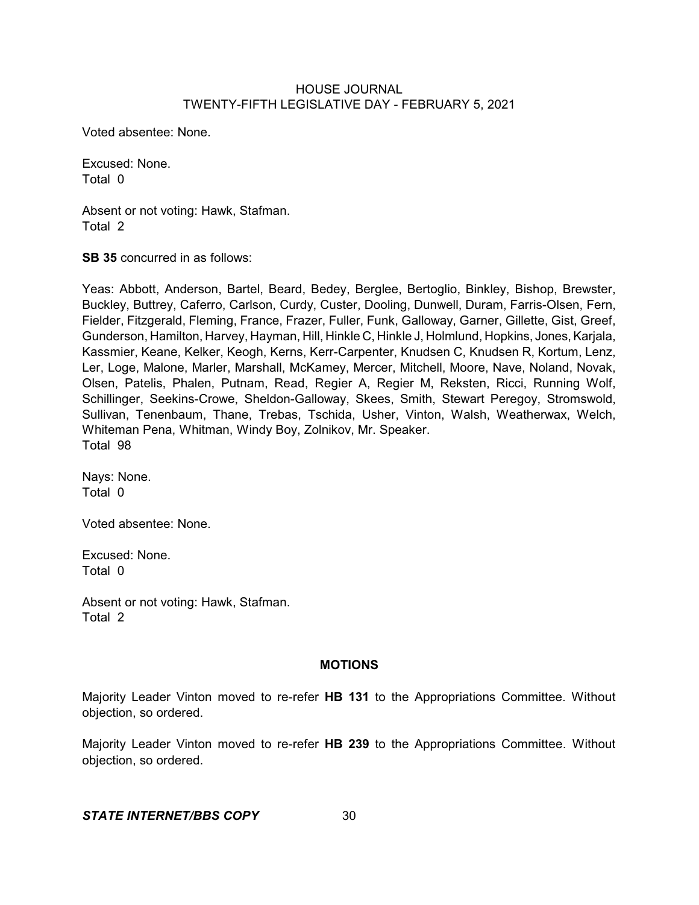Voted absentee: None.

Excused: None. Total 0

Absent or not voting: Hawk, Stafman. Total 2

**SB 35** concurred in as follows:

Yeas: Abbott, Anderson, Bartel, Beard, Bedey, Berglee, Bertoglio, Binkley, Bishop, Brewster, Buckley, Buttrey, Caferro, Carlson, Curdy, Custer, Dooling, Dunwell, Duram, Farris-Olsen, Fern, Fielder, Fitzgerald, Fleming, France, Frazer, Fuller, Funk, Galloway, Garner, Gillette, Gist, Greef, Gunderson, Hamilton, Harvey, Hayman, Hill, Hinkle C, Hinkle J, Holmlund, Hopkins, Jones,Karjala, Kassmier, Keane, Kelker, Keogh, Kerns, Kerr-Carpenter, Knudsen C, Knudsen R, Kortum, Lenz, Ler, Loge, Malone, Marler, Marshall, McKamey, Mercer, Mitchell, Moore, Nave, Noland, Novak, Olsen, Patelis, Phalen, Putnam, Read, Regier A, Regier M, Reksten, Ricci, Running Wolf, Schillinger, Seekins-Crowe, Sheldon-Galloway, Skees, Smith, Stewart Peregoy, Stromswold, Sullivan, Tenenbaum, Thane, Trebas, Tschida, Usher, Vinton, Walsh, Weatherwax, Welch, Whiteman Pena, Whitman, Windy Boy, Zolnikov, Mr. Speaker. Total 98

Nays: None. Total 0

Voted absentee: None.

Excused: None. Total 0

Absent or not voting: Hawk, Stafman. Total 2

# **MOTIONS**

Majority Leader Vinton moved to re-refer **HB 131** to the Appropriations Committee. Without objection, so ordered.

Majority Leader Vinton moved to re-refer **HB 239** to the Appropriations Committee. Without objection, so ordered.